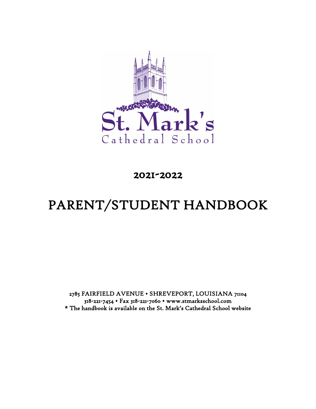

# 2021-2022

# PARENT/STUDENT HANDBOOK

2785 FAIRFIELD AVENUE • SHREVEPORT, LOUISIANA 71104 318-221-7454 • Fax 318-221-7060 • www.stmarksschool.com \* The handbook is available on the St. Mark's Cathedral School website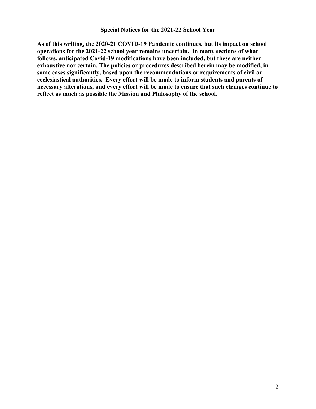#### **Special Notices for the 2021-22 School Year**

**As of this writing, the 2020-21 COVID-19 Pandemic continues, but its impact on school operations for the 2021-22 school year remains uncertain. In many sections of what follows, anticipated Covid-19 modifications have been included, but these are neither exhaustive nor certain. The policies or procedures described herein may be modified, in some cases significantly, based upon the recommendations or requirements of civil or ecclesiastical authorities. Every effort will be made to inform students and parents of necessary alterations, and every effort will be made to ensure that such changes continue to reflect as much as possible the Mission and Philosophy of the school.**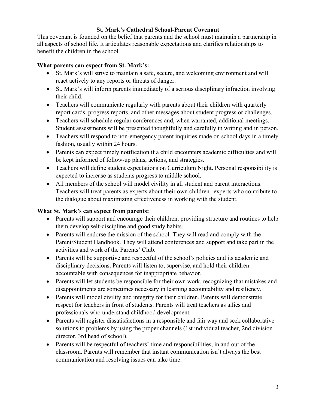### **St. Mark's Cathedral School-Parent Covenant**

This covenant is founded on the belief that parents and the school must maintain a partnership in all aspects of school life. It articulates reasonable expectations and clarifies relationships to benefit the children in the school.

### **What parents can expect from St. Mark's:**

- St. Mark's will strive to maintain a safe, secure, and welcoming environment and will react actively to any reports or threats of danger.
- St. Mark's will inform parents immediately of a serious disciplinary infraction involving their child.
- Teachers will communicate regularly with parents about their children with quarterly report cards, progress reports, and other messages about student progress or challenges.
- Teachers will schedule regular conferences and, when warranted, additional meetings. Student assessments will be presented thoughtfully and carefully in writing and in person.
- Teachers will respond to non-emergency parent inquiries made on school days in a timely fashion, usually within 24 hours.
- Parents can expect timely notification if a child encounters academic difficulties and will be kept informed of follow-up plans, actions, and strategies.
- Teachers will define student expectations on Curriculum Night. Personal responsibility is expected to increase as students progress to middle school.
- All members of the school will model civility in all student and parent interactions. Teachers will treat parents as experts about their own children--experts who contribute to the dialogue about maximizing effectiveness in working with the student.

### **What St. Mark's can expect from parents:**

- Parents will support and encourage their children, providing structure and routines to help them develop self-discipline and good study habits.
- Parents will endorse the mission of the school. They will read and comply with the Parent/Student Handbook. They will attend conferences and support and take part in the activities and work of the Parents' Club.
- Parents will be supportive and respectful of the school's policies and its academic and disciplinary decisions. Parents will listen to, supervise, and hold their children accountable with consequences for inappropriate behavior.
- Parents will let students be responsible for their own work, recognizing that mistakes and disappointments are sometimes necessary in learning accountability and resiliency.
- Parents will model civility and integrity for their children. Parents will demonstrate respect for teachers in front of students. Parents will treat teachers as allies and professionals who understand childhood development.
- Parents will register dissatisfactions in a responsible and fair way and seek collaborative solutions to problems by using the proper channels (1st individual teacher, 2nd division director, 3rd head of school).
- Parents will be respectful of teachers' time and responsibilities, in and out of the classroom. Parents will remember that instant communication isn't always the best communication and resolving issues can take time.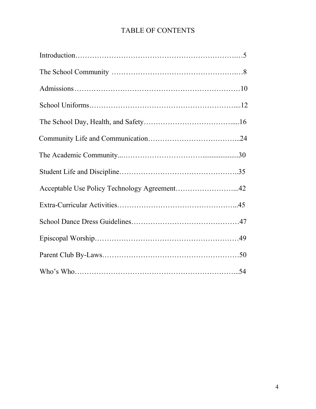# TABLE OF CONTENTS

| Acceptable Use Policy Technology Agreement42 |  |
|----------------------------------------------|--|
|                                              |  |
|                                              |  |
|                                              |  |
|                                              |  |
|                                              |  |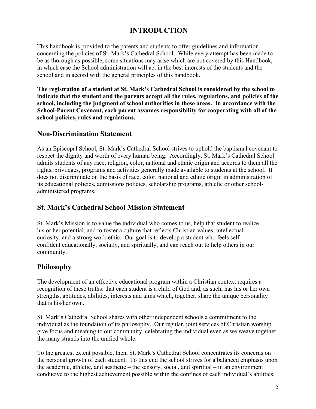# **INTRODUCTION**

This handbook is provided to the parents and students to offer guidelines and information concerning the policies of St. Mark's Cathedral School. While every attempt has been made to be as thorough as possible, some situations may arise which are not covered by this Handbook, in which case the School administration will act in the best interests of the students and the school and in accord with the general principles of this handbook.

**The registration of a student at St. Mark's Cathedral School is considered by the school to indicate that the student and the parents accept all the rules, regulations, and policies of the school, including the judgment of school authorities in these areas. In accordance with the School-Parent Covenant, each parent assumes responsibility for cooperating with all of the school policies, rules and regulations.**

### **Non-Discrimination Statement**

As an Episcopal School, St. Mark's Cathedral School strives to uphold the baptismal covenant to respect the dignity and worth of every human being. Accordingly, St. Mark's Cathedral School admits students of any race, religion, color, national and ethnic origin and accords to them all the rights, privileges, programs and activities generally made available to students at the school. It does not discriminate on the basis of race, color, national and ethnic origin in administration of its educational policies, admissions policies, scholarship programs, athletic or other schooladministered programs.

### **St. Mark's Cathedral School Mission Statement**

St. Mark's Mission is to value the individual who comes to us, help that student to realize his or her potential, and to foster a culture that reflects Christian values, intellectual curiosity, and a strong work ethic. Our goal is to develop a student who feels selfconfident educationally, socially, and spiritually, and can reach out to help others in our community.

### **Philosophy**

The development of an effective educational program within a Christian context requires a recognition of these truths: that each student is a child of God and, as such, has his or her own strengths, aptitudes, abilities, interests and aims which, together, share the unique personality that is his/her own.

St. Mark's Cathedral School shares with other independent schools a commitment to the individual as the foundation of its philosophy. Our regular, joint services of Christian worship give focus and meaning to our community, celebrating the individual even as we weave together the many strands into the unified whole.

To the greatest extent possible, then, St. Mark's Cathedral School concentrates its concerns on the personal growth of each student. To this end the school strives for a balanced emphasis upon the academic, athletic, and aesthetic – the sensory, social, and spiritual – in an environment conducive to the highest achievement possible within the confines of each individual's abilities.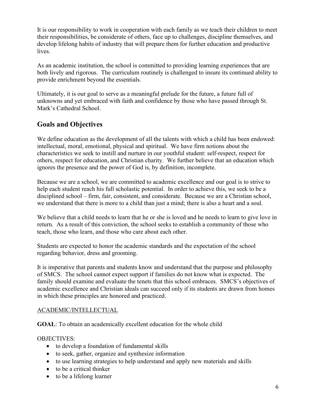It is our responsibility to work in cooperation with each family as we teach their children to meet their responsibilities, be considerate of others, face up to challenges, discipline themselves, and develop lifelong habits of industry that will prepare them for further education and productive lives.

As an academic institution, the school is committed to providing learning experiences that are both lively and rigorous. The curriculum routinely is challenged to insure its continued ability to provide enrichment beyond the essentials.

Ultimately, it is our goal to serve as a meaningful prelude for the future, a future full of unknowns and yet embraced with faith and confidence by those who have passed through St. Mark's Cathedral School.

# **Goals and Objectives**

We define education as the development of all the talents with which a child has been endowed: intellectual, moral, emotional, physical and spiritual. We have firm notions about the characteristics we seek to instill and nurture in our youthful student: self-respect, respect for others, respect for education, and Christian charity. We further believe that an education which ignores the presence and the power of God is, by definition, incomplete.

Because we are a school, we are committed to academic excellence and our goal is to strive to help each student reach his full scholastic potential. In order to achieve this, we seek to be a disciplined school – firm, fair, consistent, and considerate. Because we are a Christian school, we understand that there is more to a child than just a mind; there is also a heart and a soul.

We believe that a child needs to learn that he or she is loved and he needs to learn to give love in return. As a result of this conviction, the school seeks to establish a community of those who teach, those who learn, and those who care about each other.

Students are expected to honor the academic standards and the expectation of the school regarding behavior, dress and grooming.

It is imperative that parents and students know and understand that the purpose and philosophy of SMCS. The school cannot expect support if families do not know what is expected. The family should examine and evaluate the tenets that this school embraces. SMCS's objectives of academic excellence and Christian ideals can succeed only if its students are drawn from homes in which these principles are honored and practiced.

### ACADEMIC/INTELLECTUAL

**GOAL**: To obtain an academically excellent education for the whole child

### OBJECTIVES:

- to develop a foundation of fundamental skills
- to seek, gather, organize and synthesize information
- to use learning strategies to help understand and apply new materials and skills
- to be a critical thinker
- to be a lifelong learner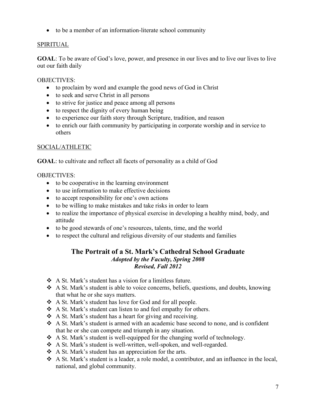• to be a member of an information-literate school community

### **SPIRITUAL**

**GOAL**: To be aware of God's love, power, and presence in our lives and to live our lives to live out our faith daily

### OBJECTIVES:

- to proclaim by word and example the good news of God in Christ
- to seek and serve Christ in all persons
- to strive for justice and peace among all persons
- to respect the dignity of every human being
- to experience our faith story through Scripture, tradition, and reason
- to enrich our faith community by participating in corporate worship and in service to others

### SOCIAL/ATHLETIC

**GOAL**: to cultivate and reflect all facets of personality as a child of God

### OBJECTIVES:

- to be cooperative in the learning environment
- to use information to make effective decisions
- to accept responsibility for one's own actions
- to be willing to make mistakes and take risks in order to learn
- to realize the importance of physical exercise in developing a healthy mind, body, and attitude
- to be good stewards of one's resources, talents, time, and the world
- to respect the cultural and religious diversity of our students and families

### **The Portrait of a St. Mark's Cathedral School Graduate** *Adopted by the Faculty, Spring 2008 Revised, Fall 2012*

- A St. Mark's student has a vision for a limitless future.
- A St. Mark's student is able to voice concerns, beliefs, questions, and doubts, knowing that what he or she says matters.
- A St. Mark's student has love for God and for all people.
- A St. Mark's student can listen to and feel empathy for others.
- $\triangle$  A St. Mark's student has a heart for giving and receiving.
- A St. Mark's student is armed with an academic base second to none, and is confident that he or she can compete and triumph in any situation.
- $\triangle$  A St. Mark's student is well-equipped for the changing world of technology.
- A St. Mark's student is well-written, well-spoken, and well-regarded.
- ❖ A St. Mark's student has an appreciation for the arts.
- A St. Mark's student is a leader, a role model, a contributor, and an influence in the local, national, and global community.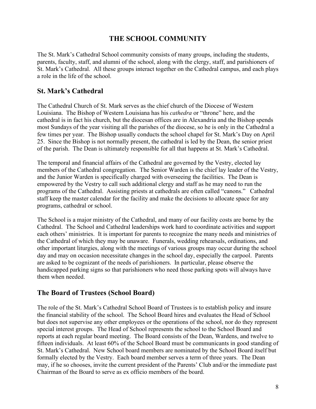### **THE SCHOOL COMMUNITY**

The St. Mark's Cathedral School community consists of many groups, including the students, parents, faculty, staff, and alumni of the school, along with the clergy, staff, and parishioners of St. Mark's Cathedral. All these groups interact together on the Cathedral campus, and each plays a role in the life of the school.

### **St. Mark's Cathedral**

The Cathedral Church of St. Mark serves as the chief church of the Diocese of Western Louisiana. The Bishop of Western Louisiana has his *cathedra* or "throne" here, and the cathedral is in fact his church, but the diocesan offices are in Alexandria and the Bishop spends most Sundays of the year visiting all the parishes of the diocese, so he is only in the Cathedral a few times per year. The Bishop usually conducts the school chapel for St. Mark's Day on April 25. Since the Bishop is not normally present, the cathedral is led by the Dean, the senior priest of the parish. The Dean is ultimately responsible for all that happens at St. Mark's Cathedral.

The temporal and financial affairs of the Cathedral are governed by the Vestry, elected lay members of the Cathedral congregation. The Senior Warden is the chief lay leader of the Vestry, and the Junior Warden is specifically charged with overseeing the facilities. The Dean is empowered by the Vestry to call such additional clergy and staff as he may need to run the programs of the Cathedral. Assisting priests at cathedrals are often called "canons." Cathedral staff keep the master calendar for the facility and make the decisions to allocate space for any programs, cathedral or school.

The School is a major ministry of the Cathedral, and many of our facility costs are borne by the Cathedral. The School and Cathedral leaderships work hard to coordinate activities and support each others' ministries. It is important for parents to recognize the many needs and ministries of the Cathedral of which they may be unaware. Funerals, wedding rehearsals, ordinations, and other important liturgies, along with the meetings of various groups may occur during the school day and may on occasion necessitate changes in the school day, especially the carpool. Parents are asked to be cognizant of the needs of parishioners. In particular, please observe the handicapped parking signs so that parishioners who need those parking spots will always have them when needed.

### **The Board of Trustees (School Board)**

The role of the St. Mark's Cathedral School Board of Trustees is to establish policy and insure the financial stability of the school. The School Board hires and evaluates the Head of School but does not supervise any other employees or the operations of the school, nor do they represent special interest groups. The Head of School represents the school to the School Board and reports at each regular board meeting. The Board consists of the Dean, Wardens, and twelve to fifteen individuals. At least 60% of the School Board must be communicants in good standing of St. Mark's Cathedral. New School board members are nominated by the School Board itself but formally elected by the Vestry. Each board member serves a term of three years. The Dean may, if he so chooses, invite the current president of the Parents' Club and/or the immediate past Chairman of the Board to serve as ex officio members of the board.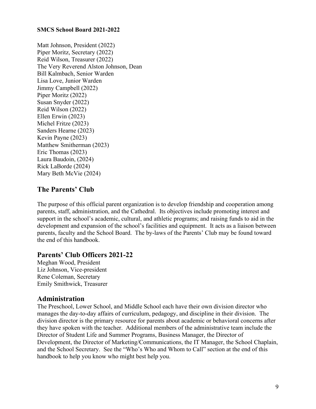#### **SMCS School Board 2021-2022**

Matt Johnson, President (2022) Piper Moritz, Secretary (2022) Reid Wilson, Treasurer (2022) The Very Reverend Alston Johnson, Dean Bill Kalmbach, Senior Warden Lisa Love, Junior Warden Jimmy Campbell (2022) Piper Moritz (2022) Susan Snyder (2022) Reid Wilson (2022) Ellen Erwin (2023) Michel Fritze (2023) Sanders Hearne (2023) Kevin Payne (2023) Matthew Smitherman (2023) Eric Thomas (2023) Laura Baudoin, (2024) Rick LaBorde (2024) Mary Beth McVie (2024)

### **The Parents' Club**

The purpose of this official parent organization is to develop friendship and cooperation among parents, staff, administration, and the Cathedral. Its objectives include promoting interest and support in the school's academic, cultural, and athletic programs; and raising funds to aid in the development and expansion of the school's facilities and equipment. It acts as a liaison between parents, faculty and the School Board. The by-laws of the Parents' Club may be found toward the end of this handbook.

### **Parents' Club Officers 2021-22**

Meghan Wood, President Liz Johnson, Vice-president Rene Coleman, Secretary Emily Smithwick, Treasurer

### **Administration**

The Preschool, Lower School, and Middle School each have their own division director who manages the day-to-day affairs of curriculum, pedagogy, and discipline in their division. The division director is the primary resource for parents about academic or behavioral concerns after they have spoken with the teacher. Additional members of the administrative team include the Director of Student Life and Summer Programs, Business Manager, the Director of Development, the Director of Marketing/Communications, the IT Manager, the School Chaplain, and the School Secretary. See the "Who's Who and Whom to Call" section at the end of this handbook to help you know who might best help you.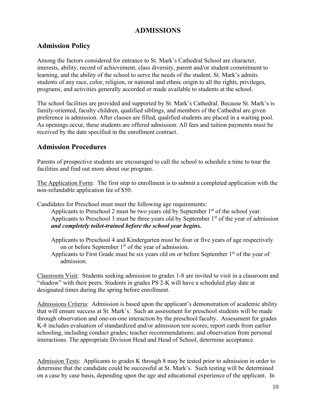# **ADMISSIONS**

### **Admission Policy**

Among the factors considered for entrance to St. Mark's Cathedral School are character, interests, ability, record of achievement, class diversity, parent and/or student commitment to learning, and the ability of the school to serve the needs of the student. St. Mark's admits students of any race, color, religion, or national and ethnic origin to all the rights, privileges, programs, and activities generally accorded or made available to students at the school.

The school facilities are provided and supported by St. Mark's Cathedral. Because St. Mark's is family-oriented, faculty children, qualified siblings, and members of the Cathedral are given preference in admission. After classes are filled, qualified students are placed in a waiting pool. As openings occur, these students are offered admission. All fees and tuition payments must be received by the date specified in the enrollment contract.

### **Admission Procedures**

Parents of prospective students are encouraged to call the school to schedule a time to tour the facilities and find out more about our program.

The Application Form: The first step to enrollment is to submit a completed application with the non-refundable application fee of \$50.

Candidates for Preschool must meet the following age requirements:

Applicants to Preschool 2 must be two years old by September  $1<sup>st</sup>$  of the school year. Applicants to Preschool 3 must be three years old by September  $1<sup>st</sup>$  of the year of admission *and completely toilet-trained before the school year begins.*

- Applicants to Preschool 4 and Kindergarten must be four or five years of age respectively on or before September  $1<sup>st</sup>$  of the year of admission.
- Applicants to First Grade must be six years old on or before September  $1<sup>st</sup>$  of the year of admission.

Classroom Visit: Students seeking admission to grades 1-8 are invited to visit in a classroom and "shadow" with their peers. Students in grades PS 2-K will have a scheduled play date at designated times during the spring before enrollment.

Admissions Criteria: Admission is based upon the applicant's demonstration of academic ability that will ensure success at St. Mark's. Such an assessment for preschool students will be made through observation and one-on-one interaction by the preschool faculty. Assessment for grades K-8 includes evaluation of standardized and/or admission test scores; report cards from earlier schooling, including conduct grades; teacher recommendations; and observation from personal interactions. The appropriate Division Head and Head of School, determine acceptance.

Admission Tests: Applicants to grades K through 8 may be tested prior to admission in order to determine that the candidate could be successful at St. Mark's. Such testing will be determined on a case by case basis, depending upon the age and educational experience of the applicant. In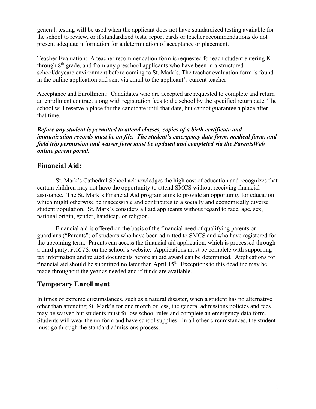general, testing will be used when the applicant does not have standardized testing available for the school to review, or if standardized tests, report cards or teacher recommendations do not present adequate information for a determination of acceptance or placement.

Teacher Evaluation: A teacher recommendation form is requested for each student entering K through  $8<sup>th</sup>$  grade, and from any preschool applicants who have been in a structured school/daycare environment before coming to St. Mark's. The teacher evaluation form is found in the online application and sent via email to the applicant's current teacher

Acceptance and Enrollment: Candidates who are accepted are requested to complete and return an enrollment contract along with registration fees to the school by the specified return date. The school will reserve a place for the candidate until that date, but cannot guarantee a place after that time.

*Before any student is permitted to attend classes, copies of a birth certificate and immunization records must be on file. The student's emergency data form, medical form, and field trip permission and waiver form must be updated and completed via the ParentsWeb online parent portal.*

### **Financial Aid:**

St. Mark's Cathedral School acknowledges the high cost of education and recognizes that certain children may not have the opportunity to attend SMCS without receiving financial assistance. The St. Mark's Financial Aid program aims to provide an opportunity for education which might otherwise be inaccessible and contributes to a socially and economically diverse student population. St. Mark's considers all aid applicants without regard to race, age, sex, national origin, gender, handicap, or religion.

Financial aid is offered on the basis of the financial need of qualifying parents or guardians ("Parents") of students who have been admitted to SMCS and who have registered for the upcoming term. Parents can access the financial aid application, which is processed through a third party, *FACTS,* on the school's website. Applications must be complete with supporting tax information and related documents before an aid award can be determined. Applications for financial aid should be submitted no later than April  $15<sup>th</sup>$ . Exceptions to this deadline may be made throughout the year as needed and if funds are available.

### **Temporary Enrollment**

In times of extreme circumstances, such as a natural disaster, when a student has no alternative other than attending St. Mark's for one month or less, the general admissions policies and fees may be waived but students must follow school rules and complete an emergency data form. Students will wear the uniform and have school supplies. In all other circumstances, the student must go through the standard admissions process.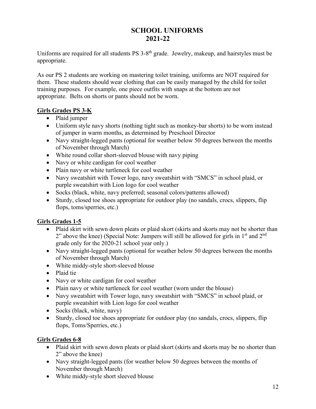# **SCHOOL UNIFORMS 2021-22**

Uniforms are required for all students PS 3-8<sup>th</sup> grade. Jewelry, makeup, and hairstyles must be appropriate.

As our PS 2 students are working on mastering toilet training, uniforms are NOT required for them. These students should wear clothing that can be easily managed by the child for toilet training purposes. For example, one piece outfits with snaps at the bottom are not appropriate. Belts on shorts or pants should not be worn.

### **Girls Grades PS 3-K**

- Plaid jumper
- Uniform style navy shorts (nothing tight such as monkey-bar shorts) to be worn instead of jumper in warm months, as determined by Preschool Director
- Navy straight-legged pants (optional for weather below 50 degrees between the months of November through March)
- White round collar short-sleeved blouse with navy piping
- Navy or white cardigan for cool weather
- Plain navy or white turtleneck for cool weather
- Navy sweatshirt with Tower logo, navy sweatshirt with "SMCS" in school plaid, or purple sweatshirt with Lion logo for cool weather
- Socks (black, white, navy preferred; seasonal colors/patterns allowed)
- Sturdy, closed toe shoes appropriate for outdoor play (no sandals, crocs, slippers, flip flops, toms/sperries, etc.)

### **Girls Grades 1-5**

- Plaid skirt with sewn down pleats or plaid skort (skirts and skorts may not be shorter than 2" above the knee) (Special Note: Jumpers will still be allowed for girls in  $1<sup>st</sup>$  and  $2<sup>nd</sup>$ grade only for the 2020-21 school year only.)
- Navy straight-legged pants (optional for weather below 50 degrees between the months of November through March)
- White middy-style short-sleeved blouse
- Plaid tie
- Navy or white cardigan for cool weather
- Plain navy or white turtleneck for cool weather (worn under the blouse)
- Navy sweatshirt with Tower logo, navy sweatshirt with "SMCS" in school plaid, or purple sweatshirt with Lion logo for cool weather
- Socks (black, white, navy)
- Sturdy, closed toe shoes appropriate for outdoor play (no sandals, crocs, slippers, flip flops, Toms/Sperries, etc.)

### **Girls Grades 6-8**

- Plaid skirt with sewn down pleats or plaid skort (skirts and skorts may be no shorter than 2" above the knee)
- Navy straight-legged pants (for weather below 50 degrees between the months of November through March)
- White middy-style short sleeved blouse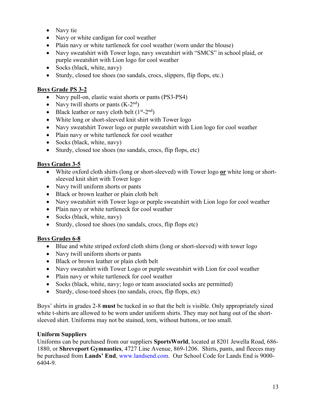- Navy tie
- Navy or white cardigan for cool weather
- Plain navy or white turtleneck for cool weather (worn under the blouse)
- Navy sweatshirt with Tower logo, navy sweatshirt with "SMCS" in school plaid, or purple sweatshirt with Lion logo for cool weather
- Socks (black, white, navy)
- Sturdy, closed toe shoes (no sandals, crocs, slippers, flip flops, etc.)

### **Boys Grade PS 3-2**

- Navy pull-on, elastic waist shorts or pants (PS3-PS4)
- Navy twill shorts or pants  $(K-2<sup>nd</sup>)$
- Black leather or navy cloth belt  $(1<sup>st</sup>-2<sup>nd</sup>)$
- White long or short-sleeved knit shirt with Tower logo
- Navy sweatshirt Tower logo or purple sweatshirt with Lion logo for cool weather
- Plain navy or white turtleneck for cool weather
- Socks (black, white, navy)
- Sturdy, closed toe shoes (no sandals, crocs, flip flops, etc)

### **Boys Grades 3-5**

- White oxford cloth shirts (long or short-sleeved) with Tower logo **or** white long or shortsleeved knit shirt with Tower logo
- Navy twill uniform shorts or pants
- Black or brown leather or plain cloth belt
- Navy sweatshirt with Tower logo or purple sweatshirt with Lion logo for cool weather
- Plain navy or white turtleneck for cool weather
- Socks (black, white, navy)
- Sturdy, closed toe shoes (no sandals, crocs, flip flops etc)

### **Boys Grades 6-8**

- Blue and white striped oxford cloth shirts (long or short-sleeved) with tower logo
- Navy twill uniform shorts or pants
- Black or brown leather or plain cloth belt
- Navy sweatshirt with Tower Logo or purple sweatshirt with Lion for cool weather
- Plain navy or white turtleneck for cool weather
- Socks (black, white, navy; logo or team associated socks are permitted)
- Sturdy, close-toed shoes (no sandals, crocs, flip flops, etc)

Boys' shirts in grades 2-8 **must** be tucked in so that the belt is visible. Only appropriately sized white t-shirts are allowed to be worn under uniform shirts. They may not hang out of the shortsleeved shirt. Uniforms may not be stained, torn, without buttons, or too small.

### **Uniform Suppliers**

Uniforms can be purchased from our suppliers **SportsWorld**, located at 8201 Jewella Road, 686- 1880, or **Shreveport Gymnastics**, 4727 Line Avenue, 869-1206. Shirts, pants, and fleeces may be purchased from **Lands' End**, [www.landsend.com.](http://www.landsend.com/) Our School Code for Lands End is 9000- 6404-9.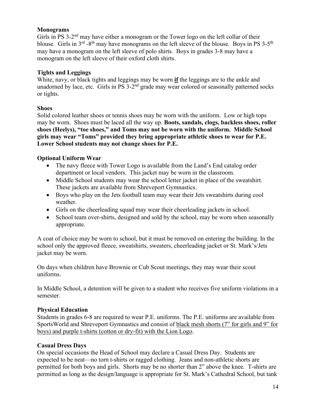#### **Monograms**

Girls in PS 3-2<sup>nd</sup> may have either a monogram or the Tower logo on the left collar of their blouse. Girls in  $3^{rd}$  -8<sup>th</sup> may have monograms on the left sleeve of the blouse. Boys in PS 3-5<sup>th</sup> may have a monogram on the left sleeve of polo shirts. Boys in grades 3-8 may have a monogram on the left sleeve of their oxford cloth shirts.

#### **Tights and Leggings**

White, navy, or black tights and leggings may be worn **if** the leggings are to the ankle and unadorned by lace, etc. Girls in  $PS$  3-2<sup>nd</sup> grade may wear colored or seasonally patterned socks or tights.

#### **Shoes**

Solid colored leather shoes or tennis shoes may be worn with the uniform. Low or high tops may be worn. Shoes must be laced all the way up. **Boots, sandals, clogs, backless shoes, roller shoes (Heelys), "toe shoes," and Toms may not be worn with the uniform. Middle School girls may wear "Toms" provided they bring appropriate athletic shoes to wear for P.E. Lower School students may not change shoes for P.E.** 

#### **Optional Uniform Wear**

- The navy fleece with Tower Logo is available from the Land's End catalog order department or local vendors. This jacket may be worn in the classroom.
- Middle School students may wear the school letter jacket in place of the sweatshirt. These jackets are available from Shreveport Gymnastics.
- Boys who play on the Jets football team may wear their Jets sweatshirts during cool weather.
- Girls on the cheerleading squad may wear their cheerleading jackets in school.
- School team over-shirts, designed and sold by the school, may be worn when seasonally appropriate.

A coat of choice may be worn to school, but it must be removed on entering the building. In the school only the approved fleece, sweatshirts, sweaters, cheerleading jacket or St. Mark's/Jets jacket may be worn.

On days when children have Brownie or Cub Scout meetings, they may wear their scout uniforms.

In Middle School, a detention will be given to a student who receives five uniform violations in a semester.

### **Physical Education**

Students in grades 6-8 are required to wear P.E. uniforms. The P.E. uniforms are available from SportsWorld and Shreveport Gymnastics and consist of black mesh shorts (7" for girls and 9" for boys) and purple t-shirts (cotton or dry-fit) with the Lion Logo.

### **Casual Dress Days**

On special occasions the Head of School may declare a Casual Dress Day. Students are expected to be neat—no torn t-shirts or ragged clothing. Jeans and non-athletic shorts are permitted for both boys and girls. Shorts may be no shorter than 2" above the knee. T-shirts are permitted as long as the design/language is appropriate for St. Mark's Cathedral School, but tank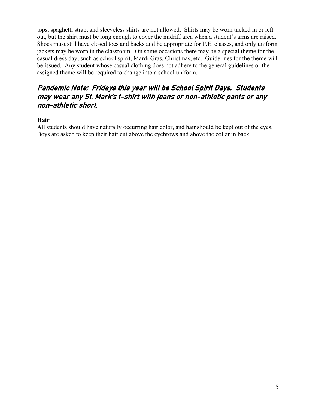tops, spaghetti strap, and sleeveless shirts are not allowed. Shirts may be worn tucked in or left out, but the shirt must be long enough to cover the midriff area when a student's arms are raised. Shoes must still have closed toes and backs and be appropriate for P.E. classes, and only uniform jackets may be worn in the classroom. On some occasions there may be a special theme for the casual dress day, such as school spirit, Mardi Gras, Christmas, etc. Guidelines for the theme will be issued. Any student whose casual clothing does not adhere to the general guidelines or the assigned theme will be required to change into a school uniform.

# Pandemic Note: Fridays this year will be School Spirit Days. Students may wear any St. Mark's t-shirt with jeans or non-athletic pants or any non-athletic short.

### **Hair**

All students should have naturally occurring hair color, and hair should be kept out of the eyes. Boys are asked to keep their hair cut above the eyebrows and above the collar in back.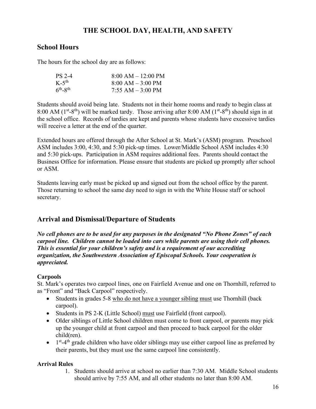# **THE SCHOOL DAY, HEALTH, AND SAFETY**

### **School Hours**

The hours for the school day are as follows:

| PS 2-4            | $8:00 AM - 12:00 PM$ |
|-------------------|----------------------|
| $K-5^{th}$        | $8:00 AM - 3:00 PM$  |
| $6^{th} - 8^{th}$ | $7:55$ AM $-3:00$ PM |

Students should avoid being late. Students not in their home rooms and ready to begin class at 8:00 AM ( $1<sup>st</sup> - 8<sup>th</sup>$ ) will be marked tardy. Those arriving after 8:00 AM ( $1<sup>st</sup> - 8<sup>th</sup>$ ) should sign in at the school office. Records of tardies are kept and parents whose students have excessive tardies will receive a letter at the end of the quarter.

Extended hours are offered through the After School at St. Mark's (ASM) program. Preschool ASM includes 3:00, 4:30, and 5:30 pick-up times. Lower/Middle School ASM includes 4:30 and 5:30 pick-ups. Participation in ASM requires additional fees. Parents should contact the Business Office for information. Please ensure that students are picked up promptly after school or ASM.

Students leaving early must be picked up and signed out from the school office by the parent. Those returning to school the same day need to sign in with the White House staff or school secretary.

# **Arrival and Dismissal/Departure of Students**

*No cell phones are to be used for any purposes in the designated "No Phone Zones" of each carpool line. Children cannot be loaded into cars while parents are using their cell phones. This is essential for your children's safety and is a requirement of our accrediting organization, the Southwestern Association of Episcopal Schools. Your cooperation is appreciated.*

### **Carpools**

St. Mark's operates two carpool lines, one on Fairfield Avenue and one on Thornhill, referred to as "Front" and "Back Carpool" respectively.

- Students in grades 5-8 who do not have a younger sibling must use Thornhill (back carpool).
- Students in PS 2-K (Little School) must use Fairfield (front carpool).
- Older siblings of Little School children must come to front carpool, or parents may pick up the younger child at front carpool and then proceed to back carpool for the older child(ren).
- $\bullet$  1<sup>st</sup>-4<sup>th</sup> grade children who have older siblings may use either carpool line as preferred by their parents, but they must use the same carpool line consistently.

### **Arrival Rules**

1. Students should arrive at school no earlier than 7:30 AM. Middle School students should arrive by 7:55 AM, and all other students no later than 8:00 AM.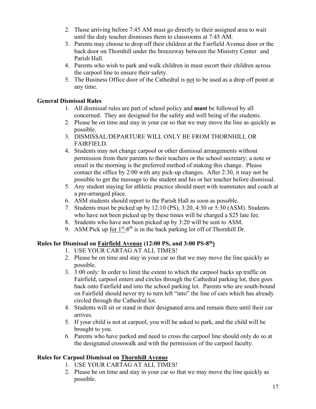- 2. Those arriving before 7:45 AM must go directly to their assigned area to wait until the duty teacher dismisses them to classrooms at 7:45 AM.
- 3. Parents may choose to drop off their children at the Fairfield Avenue door or the back door on Thornhill under the breezeway between the Ministry Center and Parish Hall.
- 4. Parents who wish to park and walk children in must escort their children across the carpool line to ensure their safety.
- 5. The Business Office door of the Cathedral is not to be used as a drop off point at any time.

### **General Dismissal Rules**

- 1. All dismissal rules are part of school policy and **must** be followed by all concerned. They are designed for the safety and well being of the students.
- 2. Please be on time and stay in your car so that we may move the line as quickly as possible.
- 3. DISMISSAL/DEPARTURE WILL ONLY BE FROM THORNHILL OR FAIRFIELD.
- 4. Students may not change carpool or other dismissal arrangements without permission from their parents to their teachers or the school secretary; a note or email in the morning is the preferred method of making this change. Please contact the office by 2:00 with any pick-up changes. After 2:30, it may not be possible to get the message to the student and his or her teacher before dismissal.
- 5. Any student staying for athletic practice should meet with teammates and coach at a pre-arranged place.
- 6. ASM students should report to the Parish Hall as soon as possible.
- 7. Students must be picked up by 12:10 (PS), 3:20, 4:30 or 5:30 (ASM). Students who have not been picked up by these times will be charged a \$25 late fee.
- 8. Students who have not been picked up by 3:20 will be sent to ASM.
- 9. ASM Pick up for  $1<sup>st</sup>-8<sup>th</sup>$  is in the back parking lot off of Thornhill Dr.

### **Rules for Dismissal on Fairfield Avenue (12:00 PS, and 3:00 PS-8th)**

- 1. USE YOUR CARTAG AT ALL TIMES!
- 2. Please be on time and stay in your car so that we may move the line quickly as possible.
- 3. 3:00 only: In order to limit the extent to which the carpool backs up traffic on Fairfield, carpool enters and circles through the Cathedral parking lot, then goes back onto Fairfield and into the school parking lot. Parents who are south-bound on Fairfield should never try to turn left "into" the line of cars which has already circled through the Cathedral lot.
- 4. Students will sit or stand in their designated area and remain there until their car arrives.
- 5. If your child is not at carpool, you will be asked to park, and the child will be brought to you.
- 6. Parents who have parked and need to cross the carpool line should only do so at the designated crosswalk and with the permission of the carpool faculty.

### **Rules for Carpool Dismissal on Thornhill Avenue**

- 1. USE YOUR CARTAG AT ALL TIMES!
- 2. Please be on time and stay in your car so that we may move the line quickly as possible.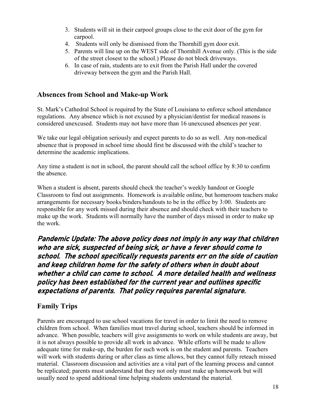- 3. Students will sit in their carpool groups close to the exit door of the gym for carpool.
- 4. Students will only be dismissed from the Thornhill gym door exit.
- 5. Parents will line up on the WEST side of Thornhill Avenue only. (This is the side of the street closest to the school.) Please do not block driveways.
- 6. In case of rain, students are to exit from the Parish Hall under the covered driveway between the gym and the Parish Hall.

# **Absences from School and Make-up Work**

St. Mark's Cathedral School is required by the State of Louisiana to enforce school attendance regulations. Any absence which is not excused by a physician/dentist for medical reasons is considered unexcused. Students may not have more than 16 unexcused absences per year.

We take our legal obligation seriously and expect parents to do so as well. Any non-medical absence that is proposed in school time should first be discussed with the child's teacher to determine the academic implications.

Any time a student is not in school, the parent should call the school office by 8:30 to confirm the absence.

When a student is absent, parents should check the teacher's weekly handout or Google Classroom to find out assignments. Homework is available online, but homeroom teachers make arrangements for necessary books/binders/handouts to be in the office by 3:00. Students are responsible for any work missed during their absence and should check with their teachers to make up the work. Students will normally have the number of days missed in order to make up the work.

# Pandemic Update: The above policy does not imply in any way that children who are sick, suspected of being sick, or have a fever should come to school. The school specifically requests parents err on the side of caution and keep children home for the safety of others when in doubt about whether a child can come to school. A more detailed health and wellness policy has been established for the current year and outlines specific expectations of parents. That policy requires parental signature.

### **Family Trips**

Parents are encouraged to use school vacations for travel in order to limit the need to remove children from school. When families must travel during school, teachers should be informed in advance. When possible, teachers will give assignments to work on while students are away, but it is not always possible to provide all work in advance. While efforts will be made to allow adequate time for make-up, the burden for such work is on the student and parents. Teachers will work with students during or after class as time allows, but they cannot fully reteach missed material. Classroom discussion and activities are a vital part of the learning process and cannot be replicated; parents must understand that they not only must make up homework but will usually need to spend additional time helping students understand the material.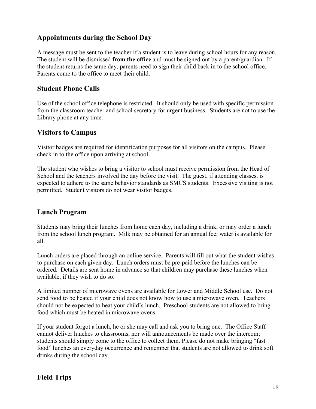# **Appointments during the School Day**

A message must be sent to the teacher if a student is to leave during school hours for any reason. The student will be dismissed **from the office** and must be signed out by a parent/guardian. If the student returns the same day, parents need to sign their child back in to the school office. Parents come to the office to meet their child.

### **Student Phone Calls**

Use of the school office telephone is restricted. It should only be used with specific permission from the classroom teacher and school secretary for urgent business. Students are not to use the Library phone at any time.

### **Visitors to Campus**

Visitor badges are required for identification purposes for all visitors on the campus. Please check in to the office upon arriving at school

The student who wishes to bring a visitor to school must receive permission from the Head of School and the teachers involved the day before the visit. The guest, if attending classes, is expected to adhere to the same behavior standards as SMCS students. Excessive visiting is not permitted. Student visitors do not wear visitor badges.

### **Lunch Program**

Students may bring their lunches from home each day, including a drink, or may order a lunch from the school lunch program. Milk may be obtained for an annual fee; water is available for all.

Lunch orders are placed through an online service. Parents will fill out what the student wishes to purchase on each given day. Lunch orders must be pre-paid before the lunches can be ordered. Details are sent home in advance so that children may purchase these lunches when available, if they wish to do so.

A limited number of microwave ovens are available for Lower and Middle School use. Do not send food to be heated if your child does not know how to use a microwave oven. Teachers should not be expected to heat your child's lunch. Preschool students are not allowed to bring food which must be heated in microwave ovens.

If your student forgot a lunch, he or she may call and ask you to bring one. The Office Staff cannot deliver lunches to classrooms, nor will announcements be made over the intercom; students should simply come to the office to collect them. Please do not make bringing "fast food" lunches an everyday occurrence and remember that students are not allowed to drink soft drinks during the school day.

### **Field Trips**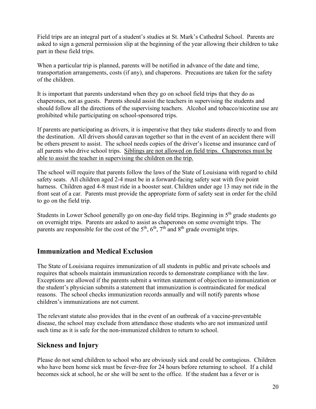Field trips are an integral part of a student's studies at St. Mark's Cathedral School. Parents are asked to sign a general permission slip at the beginning of the year allowing their children to take part in these field trips.

When a particular trip is planned, parents will be notified in advance of the date and time, transportation arrangements, costs (if any), and chaperons. Precautions are taken for the safety of the children.

It is important that parents understand when they go on school field trips that they do as chaperones, not as guests. Parents should assist the teachers in supervising the students and should follow all the directions of the supervising teachers. Alcohol and tobacco/nicotine use are prohibited while participating on school-sponsored trips.

If parents are participating as drivers, it is imperative that they take students directly to and from the destination. All drivers should caravan together so that in the event of an accident there will be others present to assist. The school needs copies of the driver's license and insurance card of all parents who drive school trips. Siblings are not allowed on field trips. Chaperones must be able to assist the teacher in supervising the children on the trip.

The school will require that parents follow the laws of the State of Louisiana with regard to child safety seats. All children aged 2-4 must be in a forward-facing safety seat with five point harness. Children aged 4-8 must ride in a booster seat. Children under age 13 may not ride in the front seat of a car. Parents must provide the appropriate form of safety seat in order for the child to go on the field trip.

Students in Lower School generally go on one-day field trips. Beginning in  $5<sup>th</sup>$  grade students go on overnight trips. Parents are asked to assist as chaperones on some overnight trips. The parents are responsible for the cost of the  $5<sup>th</sup>$ ,  $6<sup>th</sup>$ ,  $7<sup>th</sup>$  and  $8<sup>th</sup>$  grade overnight trips.

# **Immunization and Medical Exclusion**

The State of Louisiana requires immunization of all students in public and private schools and requires that schools maintain immunization records to demonstrate compliance with the law. Exceptions are allowed if the parents submit a written statement of objection to immunization or the student's physician submits a statement that immunization is contraindicated for medical reasons. The school checks immunization records annually and will notify parents whose children's immunizations are not current.

The relevant statute also provides that in the event of an outbreak of a vaccine-preventable disease, the school may exclude from attendance those students who are not immunized until such time as it is safe for the non-immunized children to return to school.

# **Sickness and Injury**

Please do not send children to school who are obviously sick and could be contagious. Children who have been home sick must be fever-free for 24 hours before returning to school. If a child becomes sick at school, he or she will be sent to the office. If the student has a fever or is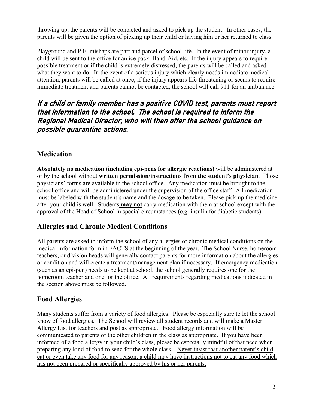throwing up, the parents will be contacted and asked to pick up the student. In other cases, the parents will be given the option of picking up their child or having him or her returned to class.

Playground and P.E. mishaps are part and parcel of school life. In the event of minor injury, a child will be sent to the office for an ice pack, Band-Aid, etc. If the injury appears to require possible treatment or if the child is extremely distressed, the parents will be called and asked what they want to do. In the event of a serious injury which clearly needs immediate medical attention, parents will be called at once; if the injury appears life-threatening or seems to require immediate treatment and parents cannot be contacted, the school will call 911 for an ambulance.

# If a child or family member has a positive COVID test, parents must report that information to the school. The school is required to inform the Regional Medical Director, who will then offer the school guidance on possible quarantine actions.

# **Medication**

**Absolutely no medication (including epi-pens for allergic reactions)** will be administered at or by the school without **written permission/instructions from the student's physician**. Those physicians' forms are available in the school office. Any medication must be brought to the school office and will be administered under the supervision of the office staff. All medication must be labeled with the student's name and the dosage to be taken. Please pick up the medicine after your child is well. Students **may not** carry medication with them at school except with the approval of the Head of School in special circumstances (e.g. insulin for diabetic students).

# **Allergies and Chronic Medical Conditions**

All parents are asked to inform the school of any allergies or chronic medical conditions on the medical information form in FACTS at the beginning of the year. The School Nurse, homeroom teachers, or division heads will generally contact parents for more information about the allergies or condition and will create a treatment/management plan if necessary. If emergency medication (such as an epi-pen) needs to be kept at school, the school generally requires one for the homeroom teacher and one for the office. All requirements regarding medications indicated in the section above must be followed.

# **Food Allergies**

Many students suffer from a variety of food allergies. Please be especially sure to let the school know of food allergies. The School will review all student records and will make a Master Allergy List for teachers and post as appropriate. Food allergy information will be communicated to parents of the other children in the class as appropriate. If you have been informed of a food allergy in your child's class, please be especially mindful of that need when preparing any kind of food to send for the whole class. Never insist that another parent's child eat or even take any food for any reason; a child may have instructions not to eat any food which has not been prepared or specifically approved by his or her parents.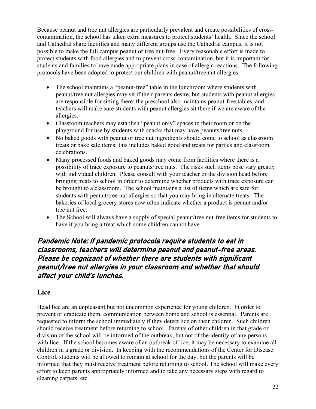Because peanut and tree nut allergies are particularly prevalent and create possibilities of crosscontamination, the school has taken extra measures to protect students' health. Since the school and Cathedral share facilities and many different groups use the Cathedral campus, it is not possible to make the full campus peanut or tree nut-free. Every reasonable effort is made to protect students with food allergies and to prevent cross-contamination, but it is important for students and families to have made appropriate plans in case of allergic reactions. The following protocols have been adopted to protect our children with peanut/tree nut allergies.

- The school maintains a "peanut-free" table in the lunchroom where students with peanut/tree nut allergies may sit if their parents desire, but students with peanut allergies are responsible for sitting there; the preschool also maintains peanut-free tables, and teachers will make sure students with peanut allergies sit there if we are aware of the allergies.
- Classroom teachers may establish "peanut only" spaces in their room or on the playground for use by students with snacks that may have peanuts/tree nuts.
- No baked goods with peanut or tree nut ingredients should come to school as classroom treats or bake sale items; this includes baked good and treats for parties and classroom celebrations.
- Many processed foods and baked goods may come from facilities where there is a possibility of trace exposure to peanuts/tree nuts. The risks such items pose vary greatly with individual children. Please consult with your teacher or the division head before bringing treats to school in order to determine whether products with trace exposure can be brought to a classroom. The school maintains a list of items which are safe for students with peanut/tree nut allergies so that you may bring in alternate treats. The bakeries of local grocery stores now often indicate whether a product is peanut and/or tree nut free.
- The School will always have a supply of special peanut/tree nut-free items for students to have if you bring a treat which some children cannot have.

# Pandemic Note: If pandemic protocols require students to eat in classrooms, teachers will determine peanut and peanut-free areas. Please be cognizant of whether there are students with significant peanut/tree nut allergies in your classroom and whether that should affect your child's lunches.

### **Lice**

Head lice are an unpleasant but not uncommon experience for young children. In order to prevent or eradicate them, communication between home and school is essential. Parents are requested to inform the school immediately if they detect lice on their children. Such children should receive treatment before returning to school. Parents of other children in that grade or division of the school will be informed of the outbreak, but not of the identity of any persons with lice. If the school becomes aware of an outbreak of lice, it may be necessary to examine all children in a grade or division. In keeping with the recommendations of the Center for Disease Control, students will be allowed to remain at school for the day, but the parents will be informed that they must receive treatment before returning to school. The school will make every effort to keep parents appropriately informed and to take any necessary steps with regard to cleaning carpets, etc.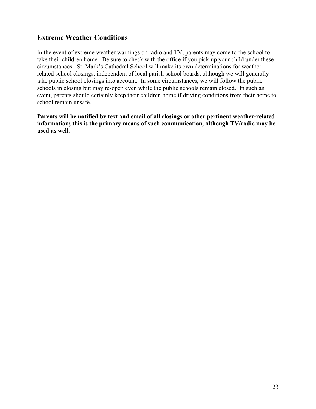# **Extreme Weather Conditions**

In the event of extreme weather warnings on radio and TV, parents may come to the school to take their children home. Be sure to check with the office if you pick up your child under these circumstances. St. Mark's Cathedral School will make its own determinations for weatherrelated school closings, independent of local parish school boards, although we will generally take public school closings into account. In some circumstances, we will follow the public schools in closing but may re-open even while the public schools remain closed. In such an event, parents should certainly keep their children home if driving conditions from their home to school remain unsafe.

**Parents will be notified by text and email of all closings or other pertinent weather-related information; this is the primary means of such communication, although TV/radio may be used as well.**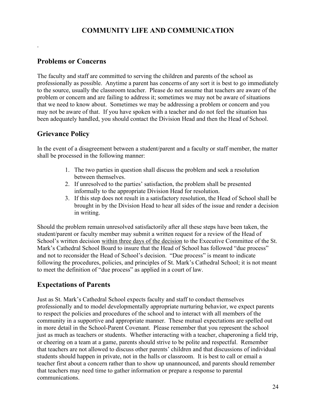# **COMMUNITY LIFE AND COMMUNICATION**

### **Problems or Concerns**

.

The faculty and staff are committed to serving the children and parents of the school as professionally as possible. Anytime a parent has concerns of any sort it is best to go immediately to the source, usually the classroom teacher. Please do not assume that teachers are aware of the problem or concern and are failing to address it; sometimes we may not be aware of situations that we need to know about. Sometimes we may be addressing a problem or concern and you may not be aware of that. If you have spoken with a teacher and do not feel the situation has been adequately handled, you should contact the Division Head and then the Head of School.

### **Grievance Policy**

In the event of a disagreement between a student/parent and a faculty or staff member, the matter shall be processed in the following manner:

- 1. The two parties in question shall discuss the problem and seek a resolution between themselves.
- 2. If unresolved to the parties' satisfaction, the problem shall be presented informally to the appropriate Division Head for resolution.
- 3. If this step does not result in a satisfactory resolution, the Head of School shall be brought in by the Division Head to hear all sides of the issue and render a decision in writing.

Should the problem remain unresolved satisfactorily after all these steps have been taken, the student/parent or faculty member may submit a written request for a review of the Head of School's written decision within three days of the decision to the Executive Committee of the St. Mark's Cathedral School Board to insure that the Head of School has followed "due process" and not to reconsider the Head of School's decision. "Due process" is meant to indicate following the procedures, policies, and principles of St. Mark's Cathedral School; it is not meant to meet the definition of "due process" as applied in a court of law.

### **Expectations of Parents**

Just as St. Mark's Cathedral School expects faculty and staff to conduct themselves professionally and to model developmentally appropriate nurturing behavior, we expect parents to respect the policies and procedures of the school and to interact with all members of the community in a supportive and appropriate manner. These mutual expectations are spelled out in more detail in the School-Parent Covenant. Please remember that you represent the school just as much as teachers or students. Whether interacting with a teacher, chaperoning a field trip, or cheering on a team at a game, parents should strive to be polite and respectful. Remember that teachers are not allowed to discuss other parents' children and that discussions of individual students should happen in private, not in the halls or classroom. It is best to call or email a teacher first about a concern rather than to show up unannounced, and parents should remember that teachers may need time to gather information or prepare a response to parental communications.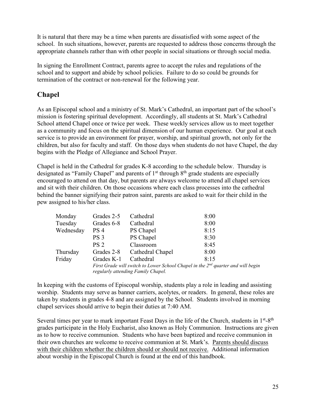It is natural that there may be a time when parents are dissatisfied with some aspect of the school. In such situations, however, parents are requested to address those concerns through the appropriate channels rather than with other people in social situations or through social media.

In signing the Enrollment Contract, parents agree to accept the rules and regulations of the school and to support and abide by school policies. Failure to do so could be grounds for termination of the contract or non-renewal for the following year.

# **Chapel**

As an Episcopal school and a ministry of St. Mark's Cathedral, an important part of the school's mission is fostering spiritual development. Accordingly, all students at St. Mark's Cathedral School attend Chapel once or twice per week. These weekly services allow us to meet together as a community and focus on the spiritual dimension of our human experience. Our goal at each service is to provide an environment for prayer, worship, and spiritual growth, not only for the children, but also for faculty and staff. On those days when students do not have Chapel, the day begins with the Pledge of Allegiance and School Prayer.

Chapel is held in the Cathedral for grades K-8 according to the schedule below. Thursday is designated as "Family Chapel" and parents of  $1<sup>st</sup>$  through  $8<sup>th</sup>$  grade students are especially encouraged to attend on that day, but parents are always welcome to attend all chapel services and sit with their children. On those occasions where each class processes into the cathedral behind the banner signifying their patron saint, parents are asked to wait for their child in the pew assigned to his/her class.

| Monday    | Grades 2-5                                                                                                                         | Cathedral        | 8:00 |
|-----------|------------------------------------------------------------------------------------------------------------------------------------|------------------|------|
| Tuesday   | Grades 6-8                                                                                                                         | Cathedral        | 8:00 |
| Wednesday | PS <sub>4</sub>                                                                                                                    | PS Chapel        | 8:15 |
|           | PS <sub>3</sub>                                                                                                                    | PS Chapel        | 8:30 |
|           | PS <sub>2</sub>                                                                                                                    | Classroom        | 8:45 |
| Thursday  | Grades 2-8                                                                                                                         | Cathedral Chapel | 8:00 |
| Friday    | Grades K-1                                                                                                                         | Cathedral        | 8:15 |
|           | First Grade will switch to Lower School Chapel in the 2 <sup>nd</sup> quarter and will begin<br>regularly attending Family Chapel. |                  |      |

In keeping with the customs of Episcopal worship, students play a role in leading and assisting worship. Students may serve as banner carriers, acolytes, or readers. In general, these roles are taken by students in grades 4-8 and are assigned by the School. Students involved in morning chapel services should arrive to begin their duties at 7:40 AM.

Several times per year to mark important Feast Days in the life of the Church, students in  $1<sup>st</sup>$ -8<sup>th</sup> grades participate in the Holy Eucharist, also known as Holy Communion. Instructions are given as to how to receive communion. Students who have been baptized and receive communion in their own churches are welcome to receive communion at St. Mark's. Parents should discuss with their children whether the children should or should not receive. Additional information about worship in the Episcopal Church is found at the end of this handbook.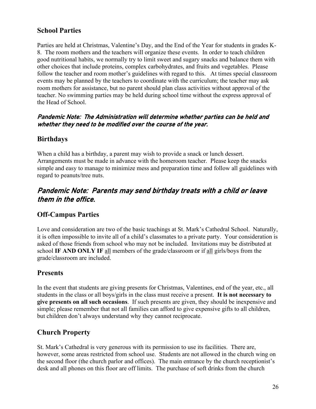# **School Parties**

Parties are held at Christmas, Valentine's Day, and the End of the Year for students in grades K-8. The room mothers and the teachers will organize these events. In order to teach children good nutritional habits, we normally try to limit sweet and sugary snacks and balance them with other choices that include proteins, complex carbohydrates, and fruits and vegetables. Please follow the teacher and room mother's guidelines with regard to this. At times special classroom events may be planned by the teachers to coordinate with the curriculum; the teacher may ask room mothers for assistance, but no parent should plan class activities without approval of the teacher. No swimming parties may be held during school time without the express approval of the Head of School.

### Pandemic Note: The Administration will determine whether parties can be held and whether they need to be modified over the course of the year.

### **Birthdays**

When a child has a birthday, a parent may wish to provide a snack or lunch dessert. Arrangements must be made in advance with the homeroom teacher. Please keep the snacks simple and easy to manage to minimize mess and preparation time and follow all guidelines with regard to peanuts/tree nuts.

# Pandemic Note: Parents may send birthday treats with a child or leave them in the office.

### **Off-Campus Parties**

Love and consideration are two of the basic teachings at St. Mark's Cathedral School. Naturally, it is often impossible to invite all of a child's classmates to a private party. Your consideration is asked of those friends from school who may not be included. Invitations may be distributed at school **IF AND ONLY IF** all members of the grade/classroom or if all girls/boys from the grade/classroom are included.

### **Presents**

In the event that students are giving presents for Christmas, Valentines, end of the year, etc., all students in the class or all boys/girls in the class must receive a present. **It is not necessary to give presents on all such occasions**. If such presents are given, they should be inexpensive and simple; please remember that not all families can afford to give expensive gifts to all children, but children don't always understand why they cannot reciprocate.

### **Church Property**

St. Mark's Cathedral is very generous with its permission to use its facilities. There are, however, some areas restricted from school use. Students are not allowed in the church wing on the second floor (the church parlor and offices). The main entrance by the church receptionist's desk and all phones on this floor are off limits. The purchase of soft drinks from the church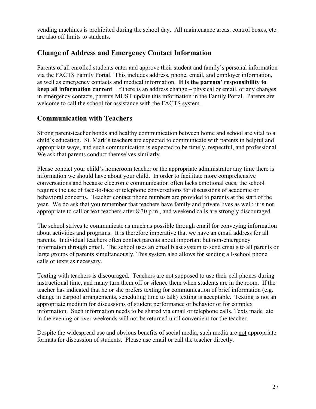vending machines is prohibited during the school day. All maintenance areas, control boxes, etc. are also off limits to students.

# **Change of Address and Emergency Contact Information**

Parents of all enrolled students enter and approve their student and family's personal information via the FACTS Family Portal. This includes address, phone, email, and employer information, as well as emergency contacts and medical information. **It is the parents' responsibility to keep all information current**. If there is an address change – physical or email, or any changes in emergency contacts, parents MUST update this information in the Family Portal. Parents are welcome to call the school for assistance with the FACTS system.

# **Communication with Teachers**

Strong parent-teacher bonds and healthy communication between home and school are vital to a child's education. St. Mark's teachers are expected to communicate with parents in helpful and appropriate ways, and such communication is expected to be timely, respectful, and professional. We ask that parents conduct themselves similarly.

Please contact your child's homeroom teacher or the appropriate administrator any time there is information we should have about your child. In order to facilitate more comprehensive conversations and because electronic communication often lacks emotional cues, the school requires the use of face-to-face or telephone conversations for discussions of academic or behavioral concerns. Teacher contact phone numbers are provided to parents at the start of the year. We do ask that you remember that teachers have family and private lives as well; it is not appropriate to call or text teachers after 8:30 p.m., and weekend calls are strongly discouraged.

The school strives to communicate as much as possible through email for conveying information about activities and programs. It is therefore imperative that we have an email address for all parents. Individual teachers often contact parents about important but non-emergency information through email. The school uses an email blast system to send emails to all parents or large groups of parents simultaneously. This system also allows for sending all-school phone calls or texts as necessary.

Texting with teachers is discouraged. Teachers are not supposed to use their cell phones during instructional time, and many turn them off or silence them when students are in the room. If the teacher has indicated that he or she prefers texting for communication of brief information (e.g. change in carpool arrangements, scheduling time to talk) texting is acceptable. Texting is not an appropriate medium for discussions of student performance or behavior or for complex information. Such information needs to be shared via email or telephone calls. Texts made late in the evening or over weekends will not be returned until convenient for the teacher.

Despite the widespread use and obvious benefits of social media, such media are not appropriate formats for discussion of students. Please use email or call the teacher directly.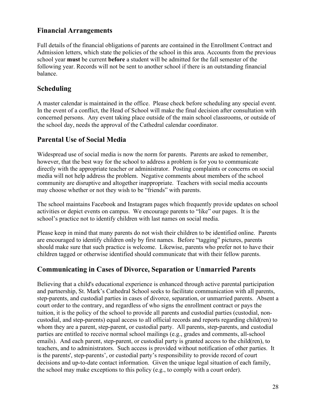# **Financial Arrangements**

Full details of the financial obligations of parents are contained in the Enrollment Contract and Admission letters, which state the policies of the school in this area. Accounts from the previous school year **must** be current **before** a student will be admitted for the fall semester of the following year. Records will not be sent to another school if there is an outstanding financial balance.

# **Scheduling**

A master calendar is maintained in the office. Please check before scheduling any special event. In the event of a conflict, the Head of School will make the final decision after consultation with concerned persons. Any event taking place outside of the main school classrooms, or outside of the school day, needs the approval of the Cathedral calendar coordinator.

# **Parental Use of Social Media**

Widespread use of social media is now the norm for parents. Parents are asked to remember, however, that the best way for the school to address a problem is for you to communicate directly with the appropriate teacher or administrator. Posting complaints or concerns on social media will not help address the problem. Negative comments about members of the school community are disruptive and altogether inappropriate. Teachers with social media accounts may choose whether or not they wish to be "friends" with parents.

The school maintains Facebook and Instagram pages which frequently provide updates on school activities or depict events on campus. We encourage parents to "like" our pages. It is the school's practice not to identify children with last names on social media.

Please keep in mind that many parents do not wish their children to be identified online. Parents are encouraged to identify children only by first names. Before "tagging" pictures, parents should make sure that such practice is welcome. Likewise, parents who prefer not to have their children tagged or otherwise identified should communicate that with their fellow parents.

### **Communicating in Cases of Divorce, Separation or Unmarried Parents**

Believing that a child's educational experience is enhanced through active parental participation and partnership, St. Mark's Cathedral School seeks to facilitate communication with all parents, step-parents, and custodial parties in cases of divorce, separation, or unmarried parents. Absent a court order to the contrary, and regardless of who signs the enrollment contract or pays the tuition, it is the policy of the school to provide all parents and custodial parties (custodial, noncustodial, and step-parents) equal access to all official records and reports regarding child(ren) to whom they are a parent, step-parent, or custodial party. All parents, step-parents, and custodial parties are entitled to receive normal school mailings (e.g., grades and comments, all-school emails). And each parent, step-parent, or custodial party is granted access to the child(ren), to teachers, and to administrators. Such access is provided without notification of other parties. It is the parents', step-parents', or custodial party's responsibility to provide record of court decisions and up-to-date contact information. Given the unique legal situation of each family, the school may make exceptions to this policy (e.g., to comply with a court order).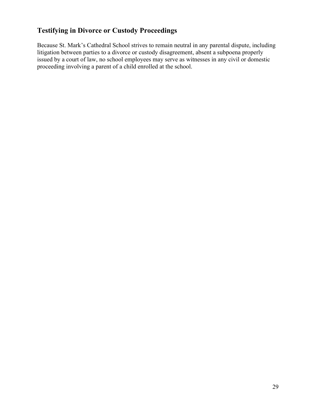# **Testifying in Divorce or Custody Proceedings**

Because St. Mark's Cathedral School strives to remain neutral in any parental dispute, including litigation between parties to a divorce or custody disagreement, absent a subpoena properly issued by a court of law, no school employees may serve as witnesses in any civil or domestic proceeding involving a parent of a child enrolled at the school.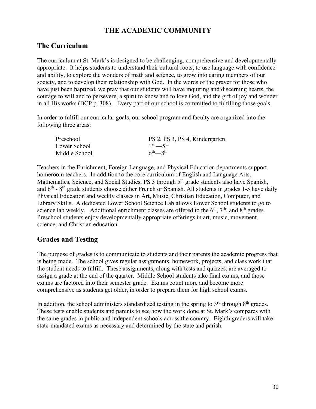# **THE ACADEMIC COMMUNITY**

# **The Curriculum**

The curriculum at St. Mark's is designed to be challenging, comprehensive and developmentally appropriate. It helps students to understand their cultural roots, to use language with confidence and ability, to explore the wonders of math and science, to grow into caring members of our society, and to develop their relationship with God. In the words of the prayer for those who have just been baptized, we pray that our students will have inquiring and discerning hearts, the courage to will and to persevere, a spirit to know and to love God, and the gift of joy and wonder in all His works (BCP p. 308). Every part of our school is committed to fulfilling those goals.

In order to fulfill our curricular goals, our school program and faculty are organized into the following three areas:

| Preschool     | PS 2, PS 3, PS 4, Kindergarten      |
|---------------|-------------------------------------|
| Lower School  | $1^{st} - 5^{th}$                   |
| Middle School | $6^{th}$ <sub>-8<sup>th</sup></sub> |

Teachers in the Enrichment, Foreign Language, and Physical Education departments support homeroom teachers. In addition to the core curriculum of English and Language Arts, Mathematics, Science, and Social Studies, PS 3 through 5<sup>th</sup> grade students also have Spanish, and  $6<sup>th</sup>$  -  $8<sup>th</sup>$  grade students choose either French or Spanish. All students in grades 1-5 have daily Physical Education and weekly classes in Art, Music, Christian Education, Computer, and Library Skills. A dedicated Lower School Science Lab allows Lower School students to go to science lab weekly. Additional enrichment classes are offered to the  $6<sup>th</sup>$ ,  $7<sup>th</sup>$ , and  $8<sup>th</sup>$  grades. Preschool students enjoy developmentally appropriate offerings in art, music, movement, science, and Christian education.

### **Grades and Testing**

The purpose of grades is to communicate to students and their parents the academic progress that is being made. The school gives regular assignments, homework, projects, and class work that the student needs to fulfill. These assignments, along with tests and quizzes, are averaged to assign a grade at the end of the quarter. Middle School students take final exams, and those exams are factored into their semester grade. Exams count more and become more comprehensive as students get older, in order to prepare them for high school exams.

In addition, the school administers standardized testing in the spring to  $3<sup>rd</sup>$  through  $8<sup>th</sup>$  grades. These tests enable students and parents to see how the work done at St. Mark's compares with the same grades in public and independent schools across the country. Eighth graders will take state-mandated exams as necessary and determined by the state and parish.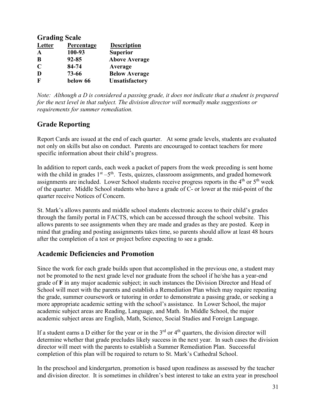| <b>Grading Scale</b> |            |                       |  |  |
|----------------------|------------|-----------------------|--|--|
| <b>Letter</b>        | Percentage | <b>Description</b>    |  |  |
| $\mathbf{A}$         | 100-93     | <b>Superior</b>       |  |  |
| B                    | $92 - 85$  | <b>Above Average</b>  |  |  |
| $\mathbf C$          | 84-74      | Average               |  |  |
| D                    | 73-66      | <b>Below Average</b>  |  |  |
| F                    | below 66   | <b>Unsatisfactory</b> |  |  |

*Note: Although a D is considered a passing grade, it does not indicate that a student is prepared for the next level in that subject. The division director will normally make suggestions or requirements for summer remediation.*

# **Grade Reporting**

Report Cards are issued at the end of each quarter. At some grade levels, students are evaluated not only on skills but also on conduct. Parents are encouraged to contact teachers for more specific information about their child's progress.

In addition to report cards, each week a packet of papers from the week preceding is sent home with the child in grades  $1<sup>st</sup> - 5<sup>th</sup>$ . Tests, quizzes, classroom assignments, and graded homework assignments are included. Lower School students receive progress reports in the 4<sup>th</sup> or 5<sup>th</sup> week of the quarter. Middle School students who have a grade of C- or lower at the mid-point of the quarter receive Notices of Concern.

St. Mark's allows parents and middle school students electronic access to their child's grades through the family portal in FACTS, which can be accessed through the school website. This allows parents to see assignments when they are made and grades as they are posted. Keep in mind that grading and posting assignments takes time, so parents should allow at least 48 hours after the completion of a test or project before expecting to see a grade.

# **Academic Deficiencies and Promotion**

Since the work for each grade builds upon that accomplished in the previous one, a student may not be promoted to the next grade level nor graduate from the school if he/she has a year-end grade of **F** in any major academic subject; in such instances the Division Director and Head of School will meet with the parents and establish a Remediation Plan which may require repeating the grade, summer coursework or tutoring in order to demonstrate a passing grade, or seeking a more appropriate academic setting with the school's assistance. In Lower School, the major academic subject areas are Reading, Language, and Math. In Middle School, the major academic subject areas are English, Math, Science, Social Studies and Foreign Language.

If a student earns a D either for the year or in the  $3<sup>rd</sup>$  or  $4<sup>th</sup>$  quarters, the division director will determine whether that grade precludes likely success in the next year. In such cases the division director will meet with the parents to establish a Summer Remediation Plan. Successful completion of this plan will be required to return to St. Mark's Cathedral School.

In the preschool and kindergarten, promotion is based upon readiness as assessed by the teacher and division director. It is sometimes in children's best interest to take an extra year in preschool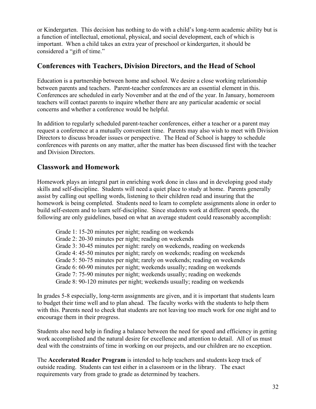or Kindergarten. This decision has nothing to do with a child's long-term academic ability but is a function of intellectual, emotional, physical, and social development, each of which is important. When a child takes an extra year of preschool or kindergarten, it should be considered a "gift of time."

# **Conferences with Teachers, Division Directors, and the Head of School**

Education is a partnership between home and school. We desire a close working relationship between parents and teachers. Parent-teacher conferences are an essential element in this. Conferences are scheduled in early November and at the end of the year. In January, homeroom teachers will contact parents to inquire whether there are any particular academic or social concerns and whether a conference would be helpful.

In addition to regularly scheduled parent-teacher conferences, either a teacher or a parent may request a conference at a mutually convenient time. Parents may also wish to meet with Division Directors to discuss broader issues or perspective. The Head of School is happy to schedule conferences with parents on any matter, after the matter has been discussed first with the teacher and Division Directors.

# **Classwork and Homework**

Homework plays an integral part in enriching work done in class and in developing good study skills and self-discipline. Students will need a quiet place to study at home. Parents generally assist by calling out spelling words, listening to their children read and insuring that the homework is being completed. Students need to learn to complete assignments alone in order to build self-esteem and to learn self-discipline. Since students work at different speeds, the following are only guidelines, based on what an average student could reasonably accomplish:

Grade 1: 15-20 minutes per night; reading on weekends Grade 2: 20-30 minutes per night; reading on weekends Grade 3: 30-45 minutes per night: rarely on weekends, reading on weekends Grade 4: 45-50 minutes per night; rarely on weekends; reading on weekends Grade 5: 50-75 minutes per night; rarely on weekends; reading on weekends Grade 6: 60-90 minutes per night; weekends usually; reading on weekends Grade 7: 75-90 minutes per night; weekends usually; reading on weekends Grade 8: 90-120 minutes per night; weekends usually; reading on weekends

In grades 5-8 especially, long-term assignments are given, and it is important that students learn to budget their time well and to plan ahead. The faculty works with the students to help them with this. Parents need to check that students are not leaving too much work for one night and to encourage them in their progress.

Students also need help in finding a balance between the need for speed and efficiency in getting work accomplished and the natural desire for excellence and attention to detail. All of us must deal with the constraints of time in working on our projects, and our children are no exception.

The **Accelerated Reader Program** is intended to help teachers and students keep track of outside reading. Students can test either in a classroom or in the library. The exact requirements vary from grade to grade as determined by teachers.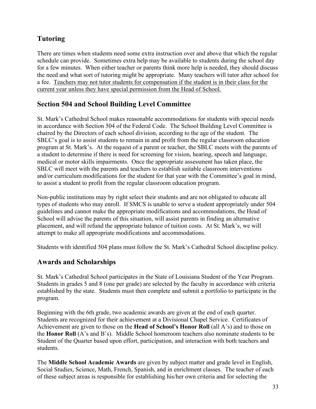# **Tutoring**

There are times when students need some extra instruction over and above that which the regular schedule can provide. Sometimes extra help may be available to students during the school day for a few minutes. When either teacher or parents think more help is needed, they should discuss the need and what sort of tutoring might be appropriate. Many teachers will tutor after school for a fee. Teachers may not tutor students for compensation if the student is in their class for the current year unless they have special permission from the Head of School.

# **Section 504 and School Building Level Committee**

St. Mark's Cathedral School makes reasonable accommodations for students with special needs in accordance with Section 504 of the Federal Code. The School Building Level Committee is chaired by the Directors of each school division, according to the age of the student. The SBLC's goal is to assist students to remain in and profit from the regular classroom education program at St. Mark's. At the request of a parent or teacher, the SBLC meets with the parents of a student to determine if there is need for screening for vision, hearing, speech and language, medical or motor skills impairments. Once the appropriate assessment has taken place, the SBLC will meet with the parents and teachers to establish suitable classroom interventions and/or curriculum modifications for the student for that year with the Committee's goal in mind, to assist a student to profit from the regular classroom education program.

Non-public institutions may by right select their students and are not obligated to educate all types of students who may enroll. If SMCS is unable to serve a student appropriately under 504 guidelines and cannot make the appropriate modifications and accommodations, the Head of School will advise the parents of this situation, will assist parents in finding an alternative placement, and will refund the appropriate balance of tuition costs. At St. Mark's, we will attempt to make all appropriate modifications and accommodations.

Students with identified 504 plans must follow the St. Mark's Cathedral School discipline policy.

# **Awards and Scholarships**

St. Mark's Cathedral School participates in the State of Louisiana Student of the Year Program. Students in grades 5 and 8 (one per grade) are selected by the faculty in accordance with criteria established by the state. Students must then complete and submit a portfolio to participate in the program.

Beginning with the 6th grade, two academic awards are given at the end of each quarter. Students are recognized for their achievement at a Divisional Chapel Service. Certificates of Achievement are given to those on the **Head of School's Honor Roll** (all A's) and to those on the **Honor Roll** (A's and B's). Middle School homeroom teachers also nominate students to be Student of the Quarter based upon effort, participation, and interaction with both teachers and students.

The **Middle School Academic Awards** are given by subject matter and grade level in English, Social Studies, Science, Math, French, Spanish, and in enrichment classes. The teacher of each of these subject areas is responsible for establishing his/her own criteria and for selecting the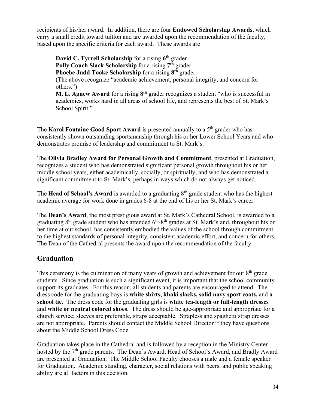recipients of his/her award. In addition, there are four **Endowed Scholarship Awards**, which carry a small credit toward tuition and are awarded upon the recommendation of the faculty, based upon the specific criteria for each award. These awards are

**David C. Tyrrell Scholarship** for a rising **6th** grader **Polly Couch Slack Scholarship** for a rising **7th** grader **Phoebe Judd Tooke Scholarship** for a rising **8th** grader (The above recognize "academic achievement, personal integrity, and concern for others.") **M. L. Agnew Award** for a rising **8th** grader recognizes a student "who is successful in

academics, works hard in all areas of school life, and represents the best of St. Mark's School Spirit."

The **Karol Fontaine Good Sport Award** is presented annually to a 5<sup>th</sup> grader who has consistently shown outstanding sportsmanship through his or her Lower School Years and who demonstrates promise of leadership and commitment to St. Mark's.

The **Olivia Bradley Award for Personal Growth and Commitment**, presented at Graduation, recognizes a student who has demonstrated significant personal growth throughout his or her middle school years, either academically, socially, or spiritually, and who has demonstrated a significant commitment to St. Mark's, perhaps in ways which do not always get noticed.

The **Head of School's Award** is awarded to a graduating 8<sup>th</sup> grade student who has the highest academic average for work done in grades 6-8 at the end of his or her St. Mark's career.

The **Dean's Award**, the most prestigious award at St. Mark's Cathedral School, is awarded to a graduating  $8<sup>th</sup>$  grade student who has attended  $6<sup>th</sup>-8<sup>th</sup>$  grades at St. Mark's and, throughout his or her time at our school, has consistently embodied the values of the school through commitment to the highest standards of personal integrity, consistent academic effort, and concern for others. The Dean of the Cathedral presents the award upon the recommendation of the faculty.

# **Graduation**

This ceremony is the culmination of many years of growth and achievement for our  $8<sup>th</sup>$  grade students. Since graduation is such a significant event, it is important that the school community support its graduates. For this reason, all students and parents are encouraged to attend. The dress code for the graduating boys is **white shirts, khaki slacks, solid navy sport coats,** and **a school tie**. The dress code for the graduating girls is **white tea-length or full-length dresses** and **white or neutral colored shoes**. The dress should be age-appropriate and appropriate for a church service; sleeves are preferable, straps acceptable. Strapless and spaghetti strap dresses are not appropriate. Parents should contact the Middle School Director if they have questions about the Middle School Dress Code.

Graduation takes place in the Cathedral and is followed by a reception in the Ministry Center hosted by the 7<sup>th</sup> grade parents. The Dean's Award, Head of School's Award, and Bradly Award are presented at Graduation. The Middle School Faculty chooses a male and a female speaker for Graduation. Academic standing, character, social relations with peers, and public speaking ability are all factors in this decision.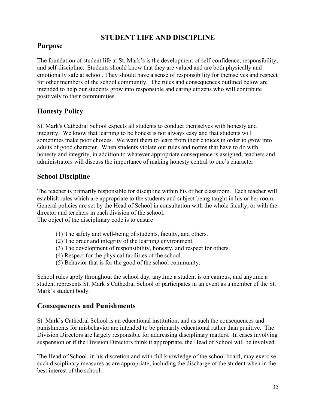# **STUDENT LIFE AND DISCIPLINE**

### **Purpose**

The foundation of student life at St. Mark's is the development of self-confidence, responsibility, and self-discipline. Students should know that they are valued and are both physically and emotionally safe at school. They should have a sense of responsibility for themselves and respect for other members of the school community. The rules and consequences outlined below are intended to help our students grow into responsible and caring citizens who will contribute positively to their communities.

### **Honesty Policy**

St. Mark's Cathedral School expects all students to conduct themselves with honesty and integrity. We know that learning to be honest is not always easy and that students will sometimes make poor choices. We want them to learn from their choices in order to grow into adults of good character. When students violate our rules and norms that have to do with honesty and integrity, in addition to whatever appropriate consequence is assigned, teachers and administrators will discuss the importance of making honesty central to one's character.

### **School Discipline**

The teacher is primarily responsible for discipline within his or her classroom. Each teacher will establish rules which are appropriate to the students and subject being taught in his or her room. General policies are set by the Head of School in consultation with the whole faculty, or with the director and teachers in each division of the school.

The object of the disciplinary code is to ensure

- (1) The safety and well-being of students, faculty, and others.
- (2) The order and integrity of the learning environment.
- (3) The development of responsibility, honesty, and respect for others.
- (4) Respect for the physical facilities of the school.
- (5) Behavior that is for the good of the school community.

School rules apply throughout the school day, anytime a student is on campus, and anytime a student represents St. Mark's Cathedral School or participates in an event as a member of the St. Mark's student body.

### **Consequences and Punishments**

St. Mark's Cathedral School is an educational institution, and as such the consequences and punishments for misbehavior are intended to be primarily educational rather than punitive. The Division Directors are largely responsible for addressing disciplinary matters. In cases involving suspension or if the Division Directors think it appropriate, the Head of School will be involved.

The Head of School, in his discretion and with full knowledge of the school board, may exercise such disciplinary measures as are appropriate, including the discharge of the student when in the best interest of the school.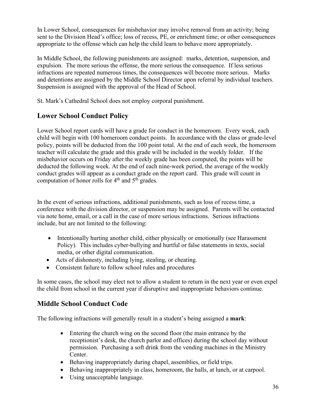In Lower School, consequences for misbehavior may involve removal from an activity; being sent to the Division Head's office; loss of recess, PE, or enrichment time; or other consequences appropriate to the offense which can help the child learn to behave more appropriately.

In Middle School, the following punishments are assigned: marks, detention, suspension, and expulsion. The more serious the offense, the more serious the consequence. If less serious infractions are repeated numerous times, the consequences will become more serious. Marks and detentions are assigned by the Middle School Director upon referral by individual teachers. Suspension is assigned with the approval of the Head of School.

St. Mark's Cathedral School does not employ corporal punishment.

# **Lower School Conduct Policy**

Lower School report cards will have a grade for conduct in the homeroom. Every week, each child will begin with 100 homeroom conduct points. In accordance with the class or grade-level policy, points will be deducted from the 100 point total. At the end of each week, the homeroom teacher will calculate the grade and this grade will be included in the weekly folder. If the misbehavior occurs on Friday after the weekly grade has been computed, the points will be deducted the following week. At the end of each nine-week period, the average of the weekly conduct grades will appear as a conduct grade on the report card. This grade will count in computation of honor rolls for  $4<sup>th</sup>$  and  $5<sup>th</sup>$  grades.

In the event of serious infractions, additional punishments, such as loss of recess time, a conference with the division director, or suspension may be assigned. Parents will be contacted via note home, email, or a call in the case of more serious infractions. Serious infractions include, but are not limited to the following:

- Intentionally hurting another child, either physically or emotionally (see Harassment Policy). This includes cyber-bullying and hurtful or false statements in texts, social media, or other digital communication.
- Acts of dishonesty, including lying, stealing, or cheating.
- Consistent failure to follow school rules and procedures

In some cases, the school may elect not to allow a student to return in the next year or even expel the child from school in the current year if disruptive and inappropriate behaviors continue.

# **Middle School Conduct Code**

The following infractions will generally result in a student's being assigned a **mark**:

- Entering the church wing on the second floor (the main entrance by the receptionist's desk, the church parlor and offices) during the school day without permission. Purchasing a soft drink from the vending machines in the Ministry Center.
- Behaving inappropriately during chapel, assemblies, or field trips.
- Behaving inappropriately in class, homeroom, the halls, at lunch, or at carpool.
- Using unacceptable language.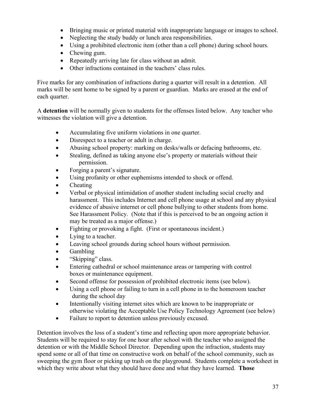- Bringing music or printed material with inappropriate language or images to school.
- Neglecting the study buddy or lunch area responsibilities.
- Using a prohibited electronic item (other than a cell phone) during school hours.
- Chewing gum.
- Repeatedly arriving late for class without an admit.
- Other infractions contained in the teachers' class rules.

Five marks for any combination of infractions during a quarter will result in a detention. All marks will be sent home to be signed by a parent or guardian. Marks are erased at the end of each quarter.

A **detention** will be normally given to students for the offenses listed below. Any teacher who witnesses the violation will give a detention.

- Accumulating five uniform violations in one quarter.
- Disrespect to a teacher or adult in charge.
- Abusing school property: marking on desks/walls or defacing bathrooms, etc.
- Stealing, defined as taking anyone else's property or materials without their permission.
- Forging a parent's signature.
- Using profanity or other euphemisms intended to shock or offend.
- Cheating
- Verbal or physical intimidation of another student including social cruelty and harassment. This includes Internet and cell phone usage at school and any physical evidence of abusive internet or cell phone bullying to other students from home. See Harassment Policy. (Note that if this is perceived to be an ongoing action it may be treated as a major offense.)
- Fighting or provoking a fight. (First or spontaneous incident.)
- Lying to a teacher.
- Leaving school grounds during school hours without permission.
- Gambling
- "Skipping" class.
- Entering cathedral or school maintenance areas or tampering with control boxes or maintenance equipment.
- Second offense for possession of prohibited electronic items (see below).
- Using a cell phone or failing to turn in a cell phone in to the homeroom teacher during the school day
- Intentionally visiting internet sites which are known to be inappropriate or otherwise violating the Acceptable Use Policy Technology Agreement (see below)
- Failure to report to detention unless previously excused.

Detention involves the loss of a student's time and reflecting upon more appropriate behavior. Students will be required to stay for one hour after school with the teacher who assigned the detention or with the Middle School Director. Depending upon the infraction, students may spend some or all of that time on constructive work on behalf of the school community, such as sweeping the gym floor or picking up trash on the playground. Students complete a worksheet in which they write about what they should have done and what they have learned. **Those**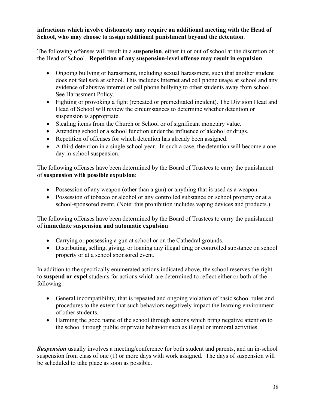#### **infractions which involve dishonesty may require an additional meeting with the Head of School, who may choose to assign additional punishment beyond the detention**.

The following offenses will result in a **suspension**, either in or out of school at the discretion of the Head of School. **Repetition of any suspension-level offense may result in expulsion**.

- Ongoing bullying or harassment, including sexual harassment, such that another student does not feel safe at school. This includes Internet and cell phone usage at school and any evidence of abusive internet or cell phone bullying to other students away from school. See Harassment Policy.
- Fighting or provoking a fight (repeated or premeditated incident). The Division Head and Head of School will review the circumstances to determine whether detention or suspension is appropriate.
- Stealing items from the Church or School or of significant monetary value.
- Attending school or a school function under the influence of alcohol or drugs.
- Repetition of offenses for which detention has already been assigned.
- A third detention in a single school year. In such a case, the detention will become a oneday in-school suspension.

The following offenses have been determined by the Board of Trustees to carry the punishment of **suspension with possible expulsion**:

- Possession of any weapon (other than a gun) or anything that is used as a weapon.
- Possession of tobacco or alcohol or any controlled substance on school property or at a school-sponsored event. (Note: this prohibition includes vaping devices and products.)

The following offenses have been determined by the Board of Trustees to carry the punishment of **immediate suspension and automatic expulsion**:

- Carrying or possessing a gun at school or on the Cathedral grounds.
- Distributing, selling, giving, or loaning any illegal drug or controlled substance on school property or at a school sponsored event.

In addition to the specifically enumerated actions indicated above, the school reserves the right to **suspend or expel** students for actions which are determined to reflect either or both of the following:

- General incompatibility, that is repeated and ongoing violation of basic school rules and procedures to the extent that such behaviors negatively impact the learning environment of other students.
- Harming the good name of the school through actions which bring negative attention to the school through public or private behavior such as illegal or immoral activities.

**Suspension** usually involves a meeting/conference for both student and parents, and an in-school suspension from class of one (1) or more days with work assigned. The days of suspension will be scheduled to take place as soon as possible.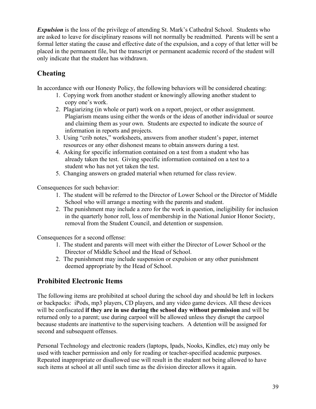*Expulsion* is the loss of the privilege of attending St. Mark's Cathedral School. Students who are asked to leave for disciplinary reasons will not normally be readmitted. Parents will be sent a formal letter stating the cause and effective date of the expulsion, and a copy of that letter will be placed in the permanent file, but the transcript or permanent academic record of the student will only indicate that the student has withdrawn.

# **Cheating**

In accordance with our Honesty Policy, the following behaviors will be considered cheating:

- 1. Copying work from another student or knowingly allowing another student to copy one's work.
- 2. Plagiarizing (in whole or part) work on a report, project, or other assignment. Plagiarism means using either the words or the ideas of another individual or source and claiming them as your own. Students are expected to indicate the source of information in reports and projects.
- 3. Using "crib notes," worksheets, answers from another student's paper, internet resources or any other dishonest means to obtain answers during a test.
- 4. Asking for specific information contained on a test from a student who has already taken the test. Giving specific information contained on a test to a student who has not yet taken the test.
- 5. Changing answers on graded material when returned for class review.

Consequences for such behavior:

- 1. The student will be referred to the Director of Lower School or the Director of Middle School who will arrange a meeting with the parents and student.
- 2. The punishment may include a zero for the work in question, ineligibility for inclusion in the quarterly honor roll, loss of membership in the National Junior Honor Society, removal from the Student Council, and detention or suspension.

Consequences for a second offense:

- 1. The student and parents will meet with either the Director of Lower School or the Director of Middle School and the Head of School.
- 2. The punishment may include suspension or expulsion or any other punishment deemed appropriate by the Head of School.

# **Prohibited Electronic Items**

The following items are prohibited at school during the school day and should be left in lockers or backpacks: iPods, mp3 players, CD players, and any video game devices. All these devices will be confiscated **if they are in use during the school day without permission** and will be returned only to a parent; use during carpool will be allowed unless they disrupt the carpool because students are inattentive to the supervising teachers. A detention will be assigned for second and subsequent offenses.

Personal Technology and electronic readers (laptops, Ipads, Nooks, Kindles, etc) may only be used with teacher permission and only for reading or teacher-specified academic purposes. Repeated inappropriate or disallowed use will result in the student not being allowed to have such items at school at all until such time as the division director allows it again.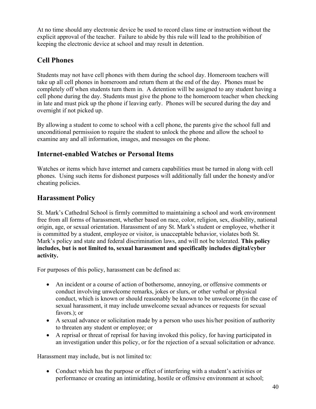At no time should any electronic device be used to record class time or instruction without the explicit approval of the teacher. Failure to abide by this rule will lead to the prohibition of keeping the electronic device at school and may result in detention.

# **Cell Phones**

Students may not have cell phones with them during the school day. Homeroom teachers will take up all cell phones in homeroom and return them at the end of the day. Phones must be completely off when students turn them in. A detention will be assigned to any student having a cell phone during the day. Students must give the phone to the homeroom teacher when checking in late and must pick up the phone if leaving early. Phones will be secured during the day and overnight if not picked up.

By allowing a student to come to school with a cell phone, the parents give the school full and unconditional permission to require the student to unlock the phone and allow the school to examine any and all information, images, and messages on the phone.

# **Internet-enabled Watches or Personal Items**

Watches or items which have internet and camera capabilities must be turned in along with cell phones. Using such items for dishonest purposes will additionally fall under the honesty and/or cheating policies.

# **Harassment Policy**

St. Mark's Cathedral School is firmly committed to maintaining a school and work environment free from all forms of harassment, whether based on race, color, religion, sex, disability, national origin, age, or sexual orientation. Harassment of any St. Mark's student or employee, whether it is committed by a student, employee or visitor, is unacceptable behavior, violates both St. Mark's policy and state and federal discrimination laws, and will not be tolerated. **This policy includes, but is not limited to, sexual harassment and specifically includes digital/cyber activity.**

For purposes of this policy, harassment can be defined as:

- An incident or a course of action of bothersome, annoying, or offensive comments or conduct involving unwelcome remarks, jokes or slurs, or other verbal or physical conduct, which is known or should reasonably be known to be unwelcome (in the case of sexual harassment, it may include unwelcome sexual advances or requests for sexual favors.); or
- A sexual advance or solicitation made by a person who uses his/her position of authority to threaten any student or employee; or
- A reprisal or threat of reprisal for having invoked this policy, for having participated in an investigation under this policy, or for the rejection of a sexual solicitation or advance.

Harassment may include, but is not limited to:

• Conduct which has the purpose or effect of interfering with a student's activities or performance or creating an intimidating, hostile or offensive environment at school;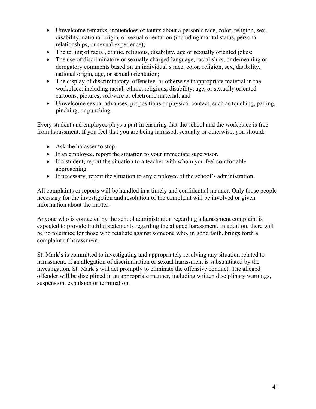- Unwelcome remarks, innuendoes or taunts about a person's race, color, religion, sex, disability, national origin, or sexual orientation (including marital status, personal relationships, or sexual experience);
- The telling of racial, ethnic, religious, disability, age or sexually oriented jokes;
- The use of discriminatory or sexually charged language, racial slurs, or demeaning or derogatory comments based on an individual's race, color, religion, sex, disability, national origin, age, or sexual orientation;
- The display of discriminatory, offensive, or otherwise inappropriate material in the workplace, including racial, ethnic, religious, disability, age, or sexually oriented cartoons, pictures, software or electronic material; and
- Unwelcome sexual advances, propositions or physical contact, such as touching, patting, pinching, or punching.

Every student and employee plays a part in ensuring that the school and the workplace is free from harassment. If you feel that you are being harassed, sexually or otherwise, you should:

- Ask the harasser to stop.
- If an employee, report the situation to your immediate supervisor.
- If a student, report the situation to a teacher with whom you feel comfortable approaching.
- If necessary, report the situation to any employee of the school's administration.

All complaints or reports will be handled in a timely and confidential manner. Only those people necessary for the investigation and resolution of the complaint will be involved or given information about the matter.

Anyone who is contacted by the school administration regarding a harassment complaint is expected to provide truthful statements regarding the alleged harassment. In addition, there will be no tolerance for those who retaliate against someone who, in good faith, brings forth a complaint of harassment.

St. Mark's is committed to investigating and appropriately resolving any situation related to harassment. If an allegation of discrimination or sexual harassment is substantiated by the investigation, St. Mark's will act promptly to eliminate the offensive conduct. The alleged offender will be disciplined in an appropriate manner, including written disciplinary warnings, suspension, expulsion or termination.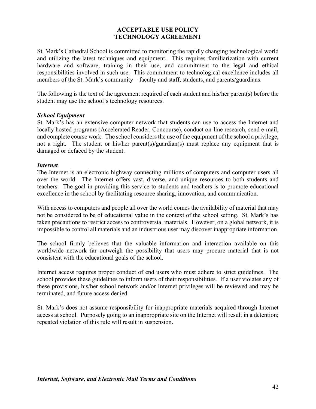#### **ACCEPTABLE USE POLICY TECHNOLOGY AGREEMENT**

St. Mark's Cathedral School is committed to monitoring the rapidly changing technological world and utilizing the latest techniques and equipment. This requires familiarization with current hardware and software, training in their use, and commitment to the legal and ethical responsibilities involved in such use. This commitment to technological excellence includes all members of the St. Mark's community – faculty and staff, students, and parents/guardians.

The following is the text of the agreement required of each student and his/her parent(s) before the student may use the school's technology resources.

#### *School Equipment*

St. Mark's has an extensive computer network that students can use to access the Internet and locally hosted programs (Accelerated Reader, Concourse), conduct on-line research, send e-mail, and complete course work. The school considers the use of the equipment of the school a privilege, not a right. The student or his/her parent(s)/guardian(s) must replace any equipment that is damaged or defaced by the student.

#### *Internet*

The Internet is an electronic highway connecting millions of computers and computer users all over the world. The Internet offers vast, diverse, and unique resources to both students and teachers. The goal in providing this service to students and teachers is to promote educational excellence in the school by facilitating resource sharing, innovation, and communication.

With access to computers and people all over the world comes the availability of material that may not be considered to be of educational value in the context of the school setting. St. Mark's has taken precautions to restrict access to controversial materials. However, on a global network, it is impossible to control all materials and an industrious user may discover inappropriate information.

The school firmly believes that the valuable information and interaction available on this worldwide network far outweigh the possibility that users may procure material that is not consistent with the educational goals of the school.

Internet access requires proper conduct of end users who must adhere to strict guidelines. The school provides these guidelines to inform users of their responsibilities. If a user violates any of these provisions, his/her school network and/or Internet privileges will be reviewed and may be terminated, and future access denied.

St. Mark's does not assume responsibility for inappropriate materials acquired through Internet access at school. Purposely going to an inappropriate site on the Internet will result in a detention; repeated violation of this rule will result in suspension.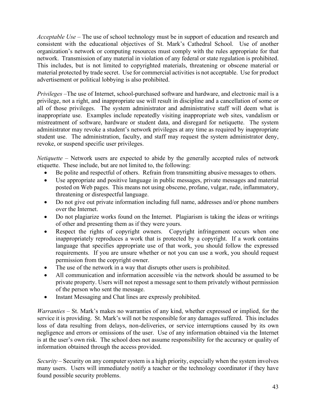*Acceptable Use* – The use of school technology must be in support of education and research and consistent with the educational objectives of St. Mark's Cathedral School. Use of another organization's network or computing resources must comply with the rules appropriate for that network. Transmission of any material in violation of any federal or state regulation is prohibited. This includes, but is not limited to copyrighted materials, threatening or obscene material or material protected by trade secret. Use for commercial activities is not acceptable. Use for product advertisement or political lobbying is also prohibited.

*Privileges* –The use of Internet, school-purchased software and hardware, and electronic mail is a privilege, not a right, and inappropriate use will result in discipline and a cancellation of some or all of those privileges. The system administrator and administrative staff will deem what is inappropriate use. Examples include repeatedly visiting inappropriate web sites, vandalism or mistreatment of software, hardware or student data, and disregard for netiquette. The system administrator may revoke a student's network privileges at any time as required by inappropriate student use. The administration, faculty, and staff may request the system administrator deny, revoke, or suspend specific user privileges.

*Netiquette* – Network users are expected to abide by the generally accepted rules of network etiquette. These include, but are not limited to, the following:

- Be polite and respectful of others. Refrain from transmitting abusive messages to others.
- Use appropriate and positive language in public messages, private messages and material posted on Web pages. This means not using obscene, profane, vulgar, rude, inflammatory, threatening or disrespectful language.
- Do not give out private information including full name, addresses and/or phone numbers over the Internet.
- Do not plagiarize works found on the Internet. Plagiarism is taking the ideas or writings of other and presenting them as if they were yours.
- Respect the rights of copyright owners. Copyright infringement occurs when one inappropriately reproduces a work that is protected by a copyright. If a work contains language that specifies appropriate use of that work, you should follow the expressed requirements. If you are unsure whether or not you can use a work, you should request permission from the copyright owner.
- The use of the network in a way that disrupts other users is prohibited.
- All communication and information accessible via the network should be assumed to be private property. Users will not repost a message sent to them privately without permission of the person who sent the message.
- Instant Messaging and Chat lines are expressly prohibited.

*Warranties* – St. Mark's makes no warranties of any kind, whether expressed or implied, for the service it is providing. St. Mark's will not be responsible for any damages suffered. This includes loss of data resulting from delays, non-deliveries, or service interruptions caused by its own negligence and errors or omissions of the user. Use of any information obtained via the Internet is at the user's own risk. The school does not assume responsibility for the accuracy or quality of information obtained through the access provided.

*Security* – Security on any computer system is a high priority, especially when the system involves many users. Users will immediately notify a teacher or the technology coordinator if they have found possible security problems.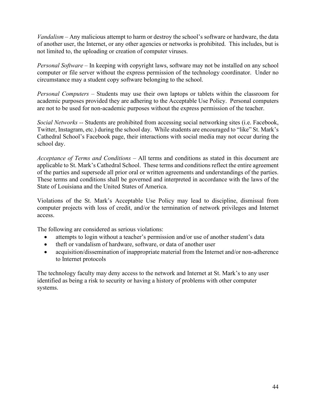*Vandalism* – Any malicious attempt to harm or destroy the school's software or hardware, the data of another user, the Internet, or any other agencies or networks is prohibited. This includes, but is not limited to, the uploading or creation of computer viruses.

*Personal Software* – In keeping with copyright laws, software may not be installed on any school computer or file server without the express permission of the technology coordinator. Under no circumstance may a student copy software belonging to the school.

*Personal Computers* – Students may use their own laptops or tablets within the classroom for academic purposes provided they are adhering to the Acceptable Use Policy. Personal computers are not to be used for non-academic purposes without the express permission of the teacher.

*Social Networks --* Students are prohibited from accessing social networking sites (i.e. Facebook, Twitter, Instagram, etc.) during the school day. While students are encouraged to "like" St. Mark's Cathedral School's Facebook page, their interactions with social media may not occur during the school day.

*Acceptance of Terms and Conditions* – All terms and conditions as stated in this document are applicable to St. Mark's Cathedral School. These terms and conditions reflect the entire agreement of the parties and supersede all prior oral or written agreements and understandings of the parties. These terms and conditions shall be governed and interpreted in accordance with the laws of the State of Louisiana and the United States of America.

Violations of the St. Mark's Acceptable Use Policy may lead to discipline, dismissal from computer projects with loss of credit, and/or the termination of network privileges and Internet access.

The following are considered as serious violations:

- attempts to login without a teacher's permission and/or use of another student's data
- theft or vandalism of hardware, software, or data of another user
- acquisition/dissemination of inappropriate material from the Internet and/or non-adherence to Internet protocols

The technology faculty may deny access to the network and Internet at St. Mark's to any user identified as being a risk to security or having a history of problems with other computer systems.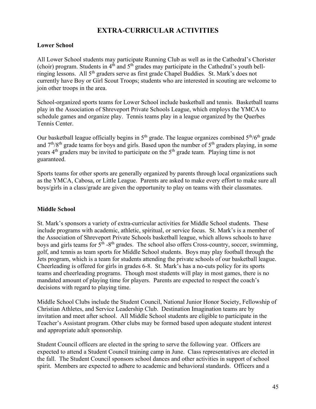# **EXTRA-CURRICULAR ACTIVITIES**

#### **Lower School**

All Lower School students may participate Running Club as well as in the Cathedral's Chorister (choir) program. Students in  $4<sup>th</sup>$  and  $5<sup>th</sup>$  grades may participate in the Cathedral's youth bellringing lessons. All 5th graders serve as first grade Chapel Buddies. St. Mark's does not currently have Boy or Girl Scout Troops; students who are interested in scouting are welcome to join other troops in the area.

School-organized sports teams for Lower School include basketball and tennis. Basketball teams play in the Association of Shreveport Private Schools League, which employs the YMCA to schedule games and organize play. Tennis teams play in a league organized by the Querbes Tennis Center.

Our basketball league officially begins in  $5<sup>th</sup>$  grade. The league organizes combined  $5<sup>th</sup>/6<sup>th</sup>$  grade and  $7<sup>th</sup>/8<sup>th</sup>$  grade teams for boys and girls. Based upon the number of  $5<sup>th</sup>$  graders playing, in some years  $4<sup>th</sup>$  graders may be invited to participate on the  $5<sup>th</sup>$  grade team. Playing time is not guaranteed.

Sports teams for other sports are generally organized by parents through local organizations such as the YMCA, Cabosa, or Little League. Parents are asked to make every effort to make sure all boys/girls in a class/grade are given the opportunity to play on teams with their classmates.

### **Middle School**

St. Mark's sponsors a variety of extra-curricular activities for Middle School students. These include programs with academic, athletic, spiritual, or service focus. St. Mark's is a member of the Association of Shreveport Private Schools basketball league, which allows schools to have boys and girls teams for 5<sup>th</sup> -8<sup>th</sup> grades. The school also offers Cross-country, soccer, swimming, golf, and tennis as team sports for Middle School students. Boys may play football through the Jets program, which is a team for students attending the private schools of our basketball league. Cheerleading is offered for girls in grades 6-8. St. Mark's has a no-cuts policy for its sports teams and cheerleading programs. Though most students will play in most games, there is no mandated amount of playing time for players. Parents are expected to respect the coach's decisions with regard to playing time.

Middle School Clubs include the Student Council, National Junior Honor Society, Fellowship of Christian Athletes, and Service Leadership Club. Destination Imagination teams are by invitation and meet after school. All Middle School students are eligible to participate in the Teacher's Assistant program. Other clubs may be formed based upon adequate student interest and appropriate adult sponsorship.

Student Council officers are elected in the spring to serve the following year. Officers are expected to attend a Student Council training camp in June. Class representatives are elected in the fall. The Student Council sponsors school dances and other activities in support of school spirit. Members are expected to adhere to academic and behavioral standards. Officers and a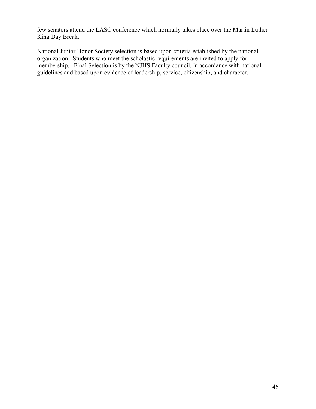few senators attend the LASC conference which normally takes place over the Martin Luther King Day Break.

National Junior Honor Society selection is based upon criteria established by the national organization. Students who meet the scholastic requirements are invited to apply for membership. Final Selection is by the NJHS Faculty council, in accordance with national guidelines and based upon evidence of leadership, service, citizenship, and character.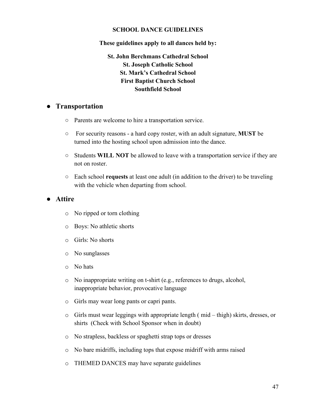#### **SCHOOL DANCE GUIDELINES**

**These guidelines apply to all dances held by:**

**St. John Berchmans Cathedral School St. Joseph Catholic School St. Mark's Cathedral School First Baptist Church School Southfield School**

### ● **Transportation**

- Parents are welcome to hire a transportation service.
- For security reasons a hard copy roster, with an adult signature, **MUST** be turned into the hosting school upon admission into the dance.
- Students **WILL NOT** be allowed to leave with a transportation service if they are not on roster.
- Each school **requests** at least one adult (in addition to the driver) to be traveling with the vehicle when departing from school.

### ● **Attire**

- o No ripped or torn clothing
- o Boys: No athletic shorts
- o Girls: No shorts
- o No sunglasses
- o No hats
- o No inappropriate writing on t-shirt (e.g., references to drugs, alcohol, inappropriate behavior, provocative language
- o Girls may wear long pants or capri pants.
- o Girls must wear leggings with appropriate length ( mid thigh) skirts, dresses, or shirts (Check with School Sponsor when in doubt)
- o No strapless, backless or spaghetti strap tops or dresses
- o No bare midriffs, including tops that expose midriff with arms raised
- o THEMED DANCES may have separate guidelines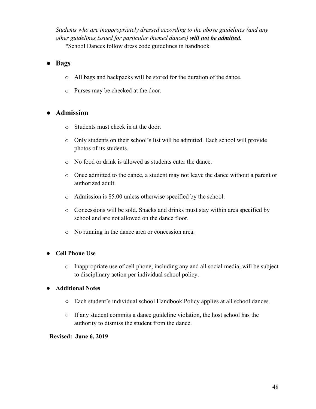*Students who are inappropriately dressed according to the above guidelines (and any other guidelines issued for particular themed dances) will not be admitted.*

*\**School Dances follow dress code guidelines in handbook

### ● **Bags**

- o All bags and backpacks will be stored for the duration of the dance.
- o Purses may be checked at the door.

### ● **Admission**

- o Students must check in at the door.
- o Only students on their school's list will be admitted. Each school will provide photos of its students.
- o No food or drink is allowed as students enter the dance.
- o Once admitted to the dance, a student may not leave the dance without a parent or authorized adult.
- o Admission is \$5.00 unless otherwise specified by the school.
- o Concessions will be sold. Snacks and drinks must stay within area specified by school and are not allowed on the dance floor.
- o No running in the dance area or concession area.

### ● **Cell Phone Use**

o Inappropriate use of cell phone, including any and all social media, will be subject to disciplinary action per individual school policy.

### ● **Additional Notes**

- Each student's individual school Handbook Policy applies at all school dances.
- If any student commits a dance guideline violation, the host school has the authority to dismiss the student from the dance.

#### **Revised: June 6, 2019**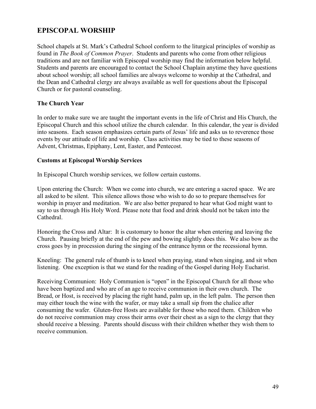# **EPISCOPAL WORSHIP**

School chapels at St. Mark's Cathedral School conform to the liturgical principles of worship as found in *The Book of Common Prayer*. Students and parents who come from other religious traditions and are not familiar with Episcopal worship may find the information below helpful. Students and parents are encouraged to contact the School Chaplain anytime they have questions about school worship; all school families are always welcome to worship at the Cathedral, and the Dean and Cathedral clergy are always available as well for questions about the Episcopal Church or for pastoral counseling.

### **The Church Year**

In order to make sure we are taught the important events in the life of Christ and His Church, the Episcopal Church and this school utilize the church calendar. In this calendar, the year is divided into seasons. Each season emphasizes certain parts of Jesus' life and asks us to reverence those events by our attitude of life and worship. Class activities may be tied to these seasons of Advent, Christmas, Epiphany, Lent, Easter, and Pentecost.

### **Customs at Episcopal Worship Services**

In Episcopal Church worship services, we follow certain customs.

Upon entering the Church: When we come into church, we are entering a sacred space. We are all asked to be silent. This silence allows those who wish to do so to prepare themselves for worship in prayer and meditation. We are also better prepared to hear what God might want to say to us through His Holy Word. Please note that food and drink should not be taken into the Cathedral.

Honoring the Cross and Altar: It is customary to honor the altar when entering and leaving the Church. Pausing briefly at the end of the pew and bowing slightly does this. We also bow as the cross goes by in procession during the singing of the entrance hymn or the recessional hymn.

Kneeling: The general rule of thumb is to kneel when praying, stand when singing, and sit when listening. One exception is that we stand for the reading of the Gospel during Holy Eucharist.

Receiving Communion: Holy Communion is "open" in the Episcopal Church for all those who have been baptized and who are of an age to receive communion in their own church. The Bread, or Host, is received by placing the right hand, palm up, in the left palm. The person then may either touch the wine with the wafer, or may take a small sip from the chalice after consuming the wafer. Gluten-free Hosts are available for those who need them. Children who do not receive communion may cross their arms over their chest as a sign to the clergy that they should receive a blessing. Parents should discuss with their children whether they wish them to receive communion.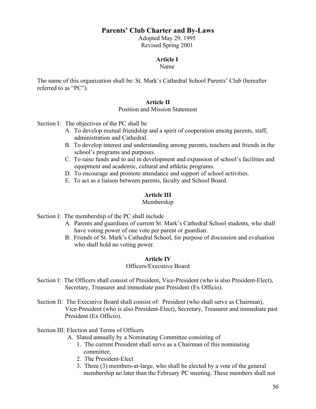### **Parents' Club Charter and By-Laws**

Adopted May 29, 1995 Revised Spring 2001

### **Article I**

Name

The name of this organization shall be: St. Mark's Cathedral School Parents' Club (hereafter referred to as "PC").

#### **Article II**

Position and Mission Statement

Section I: The objectives of the PC shall be

- A. To develop mutual friendship and a spirit of cooperation among parents, staff, administration and Cathedral.
- B. To develop interest and understanding among parents, teachers and friends in the school's programs and purposes.
- C. To raise funds and to aid in development and expansion of school's facilities and equipment and academic, cultural and athletic programs.
- D. To encourage and promote attendance and support of school activities.
- E. To act as a liaison between parents, faculty and School Board.

### **Article III**

#### Membership

Section I: The membership of the PC shall include

- A. Parents and guardians of current St. Mark's Cathedral School students, who shall have voting power of one vote per parent or guardian.
- B. Friends of St. Mark's Cathedral School, for purpose of discussion and evaluation who shall hold no voting power.

#### **Article IV**

#### Officers/Executive Board

- Section I: The Officers shall consist of President, Vice-President (who is also President-Elect), Secretary, Treasurer and immediate past President (Ex Officio).
- Section II: The Executive Board shall consist of: President (who shall serve as Chairman), Vice-President (who is also President-Elect), Secretary, Treasurer and immediate past President (Ex Officio).

#### Section III: Election and Terms of Officers

- A. Slated annually by a Nominating Committee consisting of
	- 1. The current President shall serve as a Chairman of this nominating committee,
	- 2. The President-Elect
	- 3. Three (3) members-at-large, who shall be elected by a vote of the general membership no later than the February PC meeting. These members shall not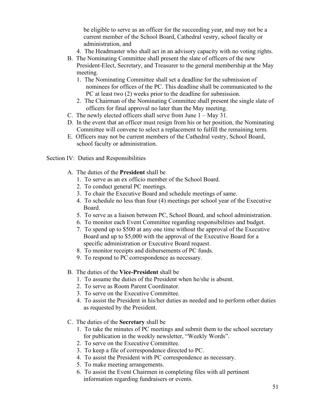be eligible to serve as an officer for the succeeding year, and may not be a current member of the School Board, Cathedral vestry, school faculty or administration, and

- 4. The Headmaster who shall act in an advisory capacity with no voting rights.
- B. The Nominating Committee shall present the slate of officers of the new President-Elect, Secretary, and Treasurer to the general membership at the May meeting.
	- 1. The Nominating Committee shall set a deadline for the submission of nominees for offices of the PC. This deadline shall be communicated to the PC at least two (2) weeks prior to the deadline for submission.
	- 2. The Chairman of the Nominating Committee shall present the single slate of officers for final approval no later than the May meeting.
- C. The newly elected officers shall serve from June 1 May 31.
- D. In the event that an officer must resign from his or her position, the Nominating Committee will convene to select a replacement to fulfill the remaining term.
- E. Officers may not be current members of the Cathedral vestry, School Board, school faculty or administration.

Section IV: Duties and Responsibilities

- A. The duties of the **President** shall be
	- 1. To serve as an ex officio member of the School Board.
	- 2. To conduct general PC meetings.
	- 3. To chair the Executive Board and schedule meetings of same.
	- 4. To schedule no less than four (4) meetings per school year of the Executive Board.
	- 5. To serve as a liaison between PC, School Board, and school administration.
	- 6. To monitor each Event Committee regarding responsibilities and budget.
	- 7. To spend up to \$500 at any one time without the approval of the Executive Board and up to \$5,000 with the approval of the Executive Board for a specific administration or Executive Board request.
	- 8. To monitor receipts and disbursements of PC funds.
	- 9. To respond to PC correspondence as necessary.
- B. The duties of the **Vice-President** shall be
	- 1. To assume the duties of the President when he/she is absent.
	- 2. To serve as Room Parent Coordinator.
	- 3. To serve on the Executive Committee.
	- 4. To assist the President in his/her duties as needed and to perform other duties as requested by the President.
- C. The duties of the **Secretary** shall be
	- 1. To take the minutes of PC meetings and submit them to the school secretary for publication in the weekly newsletter, "Weekly Words".
	- 2. To serve on the Executive Committee.
	- 3. To keep a file of correspondence directed to PC.
	- 4. To assist the President with PC correspondence as necessary.
	- 5. To make meeting arrangements.
	- 6. To assist the Event Chairmen in completing files with all pertinent information regarding fundraisers or events.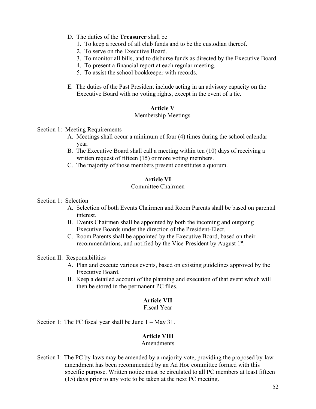- D. The duties of the **Treasurer** shall be
	- 1. To keep a record of all club funds and to be the custodian thereof.
	- 2. To serve on the Executive Board.
	- 3. To monitor all bills, and to disburse funds as directed by the Executive Board.
	- 4. To present a financial report at each regular meeting.
	- 5. To assist the school bookkeeper with records.
- E. The duties of the Past President include acting in an advisory capacity on the Executive Board with no voting rights, except in the event of a tie.

#### **Article V**

#### Membership Meetings

#### Section 1: Meeting Requirements

- A. Meetings shall occur a minimum of four (4) times during the school calendar year.
- B. The Executive Board shall call a meeting within ten (10) days of receiving a written request of fifteen (15) or more voting members.
- C. The majority of those members present constitutes a quorum.

#### **Article VI**

#### Committee Chairmen

#### Section 1: Selection

- A. Selection of both Events Chairmen and Room Parents shall be based on parental interest.
- B. Events Chairmen shall be appointed by both the incoming and outgoing Executive Boards under the direction of the President-Elect.
- C. Room Parents shall be appointed by the Executive Board, based on their recommendations, and notified by the Vice-President by August 1<sup>st</sup>.

#### Section II: Responsibilities

- A. Plan and execute various events, based on existing guidelines approved by the Executive Board.
- B. Keep a detailed account of the planning and execution of that event which will then be stored in the permanent PC files.

### **Article VII**

#### Fiscal Year

Section I: The PC fiscal year shall be June  $1 - \text{May } 31$ .

#### **Article VIII**

#### Amendments

Section I: The PC by-laws may be amended by a majority vote, providing the proposed by-law amendment has been recommended by an Ad Hoc committee formed with this specific purpose. Written notice must be circulated to all PC members at least fifteen (15) days prior to any vote to be taken at the next PC meeting.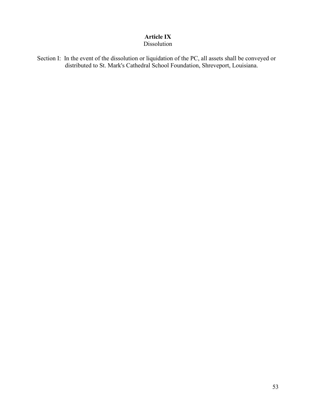# **Article IX**

# Dissolution

Section I: In the event of the dissolution or liquidation of the PC, all assets shall be conveyed or distributed to St. Mark's Cathedral School Foundation, Shreveport, Louisiana.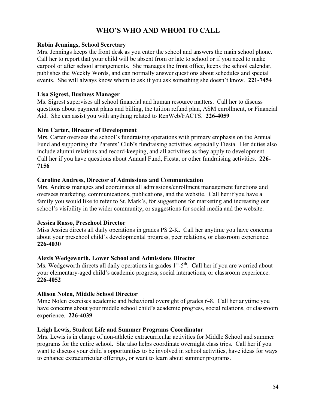# **WHO'S WHO AND WHOM TO CALL**

### **Robin Jennings, School Secretary**

Mrs. Jennings keeps the front desk as you enter the school and answers the main school phone. Call her to report that your child will be absent from or late to school or if you need to make carpool or after school arrangements. She manages the front office, keeps the school calendar, publishes the Weekly Words, and can normally answer questions about schedules and special events. She will always know whom to ask if you ask something she doesn't know. **221-7454**

#### **Lisa Sigrest, Business Manager**

Ms. Sigrest supervises all school financial and human resource matters. Call her to discuss questions about payment plans and billing, the tuition refund plan, ASM enrollment, or Financial Aid. She can assist you with anything related to RenWeb/FACTS. **226-4059**

#### **Kim Carter, Director of Development**

Mrs. Carter oversees the school's fundraising operations with primary emphasis on the Annual Fund and supporting the Parents' Club's fundraising activities, especially Fiesta. Her duties also include alumni relations and record-keeping, and all activities as they apply to development. Call her if you have questions about Annual Fund, Fiesta, or other fundraising activities. **226- 7156**

#### **Caroline Andress, Director of Admissions and Communication**

Mrs. Andress manages and coordinates all admissions/enrollment management functions and oversees marketing, communications, publications, and the website. Call her if you have a family you would like to refer to St. Mark's, for suggestions for marketing and increasing our school's visibility in the wider community, or suggestions for social media and the website.

### **Jessica Russo, Preschool Director**

Miss Jessica directs all daily operations in grades PS 2-K. Call her anytime you have concerns about your preschool child's developmental progress, peer relations, or classroom experience. **226-4030**

### **Alexis Wedgeworth, Lower School and Admissions Director**

Ms. Wedgeworth directs all daily operations in grades  $1<sup>st</sup> - 5<sup>th</sup>$ . Call her if you are worried about your elementary-aged child's academic progress, social interactions, or classroom experience. **226-4052**

### **Allison Nolen, Middle School Director**

Mme Nolen exercises academic and behavioral oversight of grades 6-8. Call her anytime you have concerns about your middle school child's academic progress, social relations, or classroom experience. **226-4039**

### **Leigh Lewis, Student Life and Summer Programs Coordinator**

Mrs. Lewis is in charge of non-athletic extracurricular activities for Middle School and summer programs for the entire school. She also helps coordinate overnight class trips. Call her if you want to discuss your child's opportunities to be involved in school activities, have ideas for ways to enhance extracurricular offerings, or want to learn about summer programs.